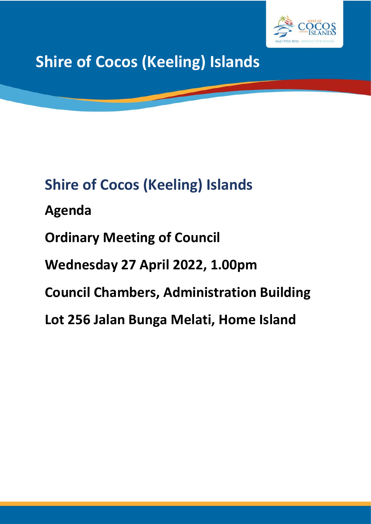

**Shire of Cocos (Keeling) Islands**

# **Shire of Cocos (Keeling) Islands**

**Agenda**

**Ordinary Meeting of Council**

**Wednesday 27 April 2022, 1.00pm**

**Council Chambers, Administration Building** 

**Lot 256 Jalan Bunga Melati, Home Island**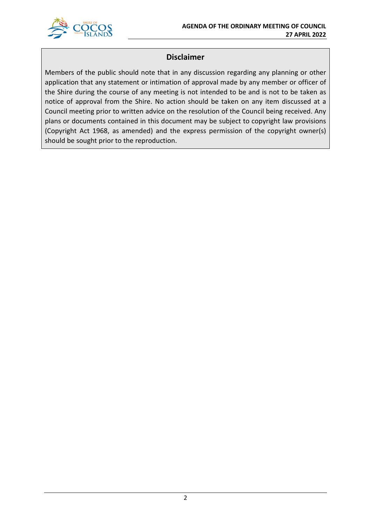

## **Disclaimer**

Members of the public should note that in any discussion regarding any planning or other application that any statement or intimation of approval made by any member or officer of the Shire during the course of any meeting is not intended to be and is not to be taken as notice of approval from the Shire. No action should be taken on any item discussed at a Council meeting prior to written advice on the resolution of the Council being received. Any plans or documents contained in this document may be subject to copyright law provisions (Copyright Act 1968, as amended) and the express permission of the copyright owner(s) should be sought prior to the reproduction.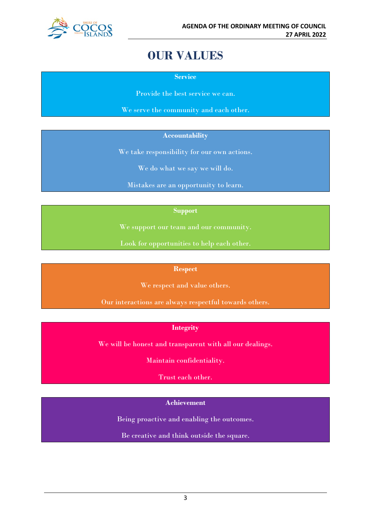

## **OUR VALUES**

**Service**

Provide the best service we can.

We serve the community and each other.

#### **Accountability**

We take responsibility for our own actions.

We do what we say we will do.

Mistakes are an opportunity to learn.

#### **Support**

We support our team and our community.

Look for opportunities to help each other.

#### **Respect**

We respect and value others.

Our interactions are always respectful towards others.

#### **Integrity**

We will be honest and transparent with all our dealings.

Maintain confidentiality.

Trust each other.

#### **Achievement**

Being proactive and enabling the outcomes.

Be creative and think outside the square.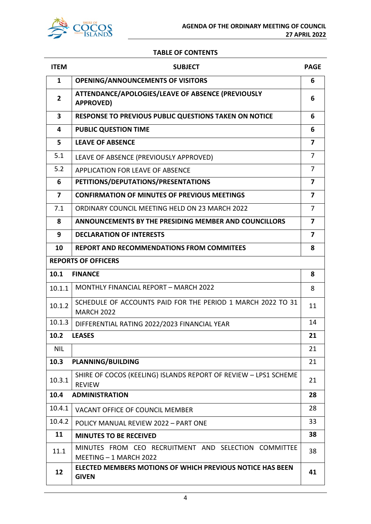

#### **TABLE OF CONTENTS**

| <b>ITEM</b>             | <b>SUBJECT</b>                                                                   | <b>PAGE</b>             |  |  |
|-------------------------|----------------------------------------------------------------------------------|-------------------------|--|--|
| 1                       | <b>OPENING/ANNOUNCEMENTS OF VISITORS</b>                                         | 6                       |  |  |
| $\overline{2}$          | ATTENDANCE/APOLOGIES/LEAVE OF ABSENCE (PREVIOUSLY<br><b>APPROVED)</b>            |                         |  |  |
| $\overline{\mathbf{3}}$ | <b>RESPONSE TO PREVIOUS PUBLIC QUESTIONS TAKEN ON NOTICE</b>                     |                         |  |  |
| 4                       | <b>PUBLIC QUESTION TIME</b>                                                      | 6                       |  |  |
| 5                       | <b>LEAVE OF ABSENCE</b>                                                          | 7                       |  |  |
| 5.1                     | LEAVE OF ABSENCE (PREVIOUSLY APPROVED)                                           | $\overline{7}$          |  |  |
| 5.2                     | <b>APPLICATION FOR LEAVE OF ABSENCE</b>                                          | 7                       |  |  |
| 6                       | PETITIONS/DEPUTATIONS/PRESENTATIONS                                              | $\overline{\mathbf{z}}$ |  |  |
| $\overline{ }$          | <b>CONFIRMATION OF MINUTES OF PREVIOUS MEETINGS</b>                              | 7                       |  |  |
| 7.1                     | ORDINARY COUNCIL MEETING HELD ON 23 MARCH 2022                                   | $\overline{7}$          |  |  |
| 8                       | ANNOUNCEMENTS BY THE PRESIDING MEMBER AND COUNCILLORS                            | 7                       |  |  |
| 9                       | <b>DECLARATION OF INTERESTS</b>                                                  | 7                       |  |  |
| 10                      | <b>REPORT AND RECOMMENDATIONS FROM COMMITEES</b>                                 | 8                       |  |  |
|                         | <b>REPORTS OF OFFICERS</b>                                                       |                         |  |  |
| 10.1                    | <b>FINANCE</b>                                                                   | 8                       |  |  |
| 10.1.1                  | <b>MONTHLY FINANCIAL REPORT - MARCH 2022</b>                                     | 8                       |  |  |
| 10.1.2                  | SCHEDULE OF ACCOUNTS PAID FOR THE PERIOD 1 MARCH 2022 TO 31<br><b>MARCH 2022</b> | 11                      |  |  |
| 10.1.3                  | DIFFERENTIAL RATING 2022/2023 FINANCIAL YEAR                                     | 14                      |  |  |
| 10.2                    | <b>LEASES</b>                                                                    | 21                      |  |  |
| <b>NIL</b>              |                                                                                  | 21                      |  |  |
| 10.3                    | <b>PLANNING/BUILDING</b>                                                         | 21                      |  |  |
| 10.3.1                  | SHIRE OF COCOS (KEELING) ISLANDS REPORT OF REVIEW - LPS1 SCHEME<br><b>REVIEW</b> | 21                      |  |  |
| 10.4                    | <b>ADMINISTRATION</b>                                                            | 28                      |  |  |
| 10.4.1                  | <b>VACANT OFFICE OF COUNCIL MEMBER</b>                                           | 28                      |  |  |
| 10.4.2                  | POLICY MANUAL REVIEW 2022 - PART ONE                                             | 33                      |  |  |
| 11                      | <b>MINUTES TO BE RECEIVED</b>                                                    | 38                      |  |  |
| 11.1                    | MINUTES FROM CEO RECRUITMENT AND SELECTION COMMITTEE<br>MEETING - 1 MARCH 2022   | 38                      |  |  |
| 12                      | <b>ELECTED MEMBERS MOTIONS OF WHICH PREVIOUS NOTICE HAS BEEN</b><br><b>GIVEN</b> | 41                      |  |  |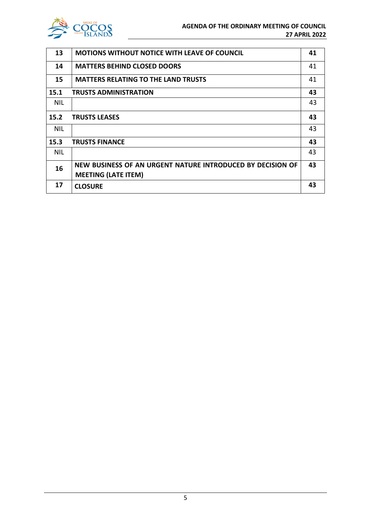

| 13         | <b>MOTIONS WITHOUT NOTICE WITH LEAVE OF COUNCIL</b>                                      | 41 |
|------------|------------------------------------------------------------------------------------------|----|
| 14         | <b>MATTERS BEHIND CLOSED DOORS</b>                                                       | 41 |
| 15         | <b>MATTERS RELATING TO THE LAND TRUSTS</b>                                               | 41 |
| 15.1       | <b>TRUSTS ADMINISTRATION</b>                                                             | 43 |
| <b>NIL</b> |                                                                                          | 43 |
| 15.2       | <b>TRUSTS LEASES</b>                                                                     | 43 |
| <b>NIL</b> |                                                                                          | 43 |
| 15.3       | <b>TRUSTS FINANCE</b>                                                                    | 43 |
| <b>NIL</b> |                                                                                          | 43 |
| 16         | NEW BUSINESS OF AN URGENT NATURE INTRODUCED BY DECISION OF<br><b>MEETING (LATE ITEM)</b> | 43 |
| 17         | <b>CLOSURE</b>                                                                           | 43 |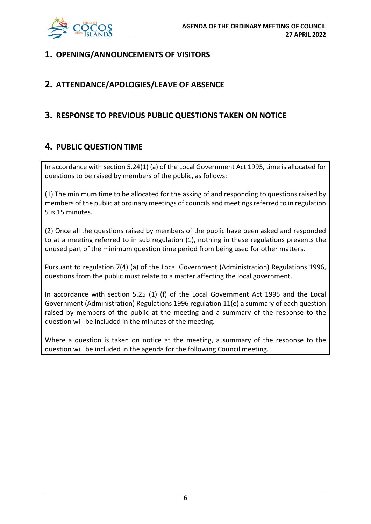

## **1. OPENING/ANNOUNCEMENTS OF VISITORS**

## **2. ATTENDANCE/APOLOGIES/LEAVE OF ABSENCE**

## **3. RESPONSE TO PREVIOUS PUBLIC QUESTIONS TAKEN ON NOTICE**

## **4. PUBLIC QUESTION TIME**

In accordance with section 5.24(1) (a) of the Local Government Act 1995, time is allocated for questions to be raised by members of the public, as follows:

(1) The minimum time to be allocated for the asking of and responding to questions raised by members of the public at ordinary meetings of councils and meetings referred to in regulation 5 is 15 minutes.

(2) Once all the questions raised by members of the public have been asked and responded to at a meeting referred to in sub regulation (1), nothing in these regulations prevents the unused part of the minimum question time period from being used for other matters.

Pursuant to regulation 7(4) (a) of the Local Government (Administration) Regulations 1996, questions from the public must relate to a matter affecting the local government.

In accordance with section 5.25 (1) (f) of the Local Government Act 1995 and the Local Government (Administration) Regulations 1996 regulation 11(e) a summary of each question raised by members of the public at the meeting and a summary of the response to the question will be included in the minutes of the meeting.

Where a question is taken on notice at the meeting, a summary of the response to the question will be included in the agenda for the following Council meeting.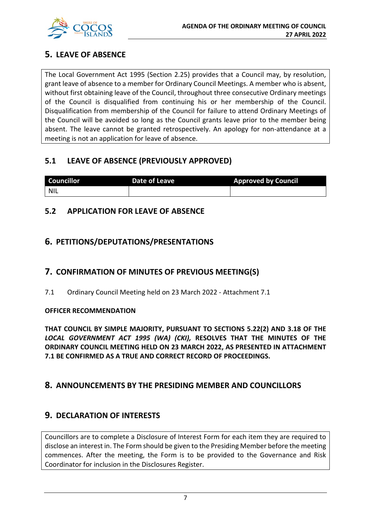

## **5. LEAVE OF ABSENCE**

The Local Government Act 1995 (Section 2.25) provides that a Council may, by resolution, grant leave of absence to a member for Ordinary Council Meetings. A member who is absent, without first obtaining leave of the Council, throughout three consecutive Ordinary meetings of the Council is disqualified from continuing his or her membership of the Council. Disqualification from membership of the Council for failure to attend Ordinary Meetings of the Council will be avoided so long as the Council grants leave prior to the member being absent. The leave cannot be granted retrospectively. An apology for non-attendance at a meeting is not an application for leave of absence.

## **5.1 LEAVE OF ABSENCE (PREVIOUSLY APPROVED)**

| <b>Councillor</b> | Date of Leave | <b>Approved by Council</b> |
|-------------------|---------------|----------------------------|
| <b>NIL</b>        |               |                            |

## **5.2 APPLICATION FOR LEAVE OF ABSENCE**

## **6. PETITIONS/DEPUTATIONS/PRESENTATIONS**

## **7. CONFIRMATION OF MINUTES OF PREVIOUS MEETING(S)**

7.1 Ordinary Council Meeting held on 23 March 2022 - Attachment 7.1

#### **OFFICER RECOMMENDATION**

**THAT COUNCIL BY SIMPLE MAJORITY, PURSUANT TO SECTIONS 5.22(2) AND 3.18 OF THE**  *LOCAL GOVERNMENT ACT 1995 (WA) (CKI),* **RESOLVES THAT THE MINUTES OF THE ORDINARY COUNCIL MEETING HELD ON 23 MARCH 2022, AS PRESENTED IN ATTACHMENT 7.1 BE CONFIRMED AS A TRUE AND CORRECT RECORD OF PROCEEDINGS.**

## **8. ANNOUNCEMENTS BY THE PRESIDING MEMBER AND COUNCILLORS**

## **9. DECLARATION OF INTERESTS**

Councillors are to complete a Disclosure of Interest Form for each item they are required to disclose an interest in. The Form should be given to the Presiding Member before the meeting commences. After the meeting, the Form is to be provided to the Governance and Risk Coordinator for inclusion in the Disclosures Register.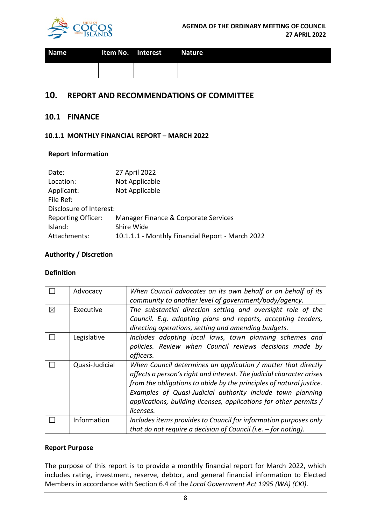

| <b>Name</b> | Item No. Interest Nature |  |
|-------------|--------------------------|--|
|             |                          |  |

#### **10. REPORT AND RECOMMENDATIONS OF COMMITTEE**

#### **10.1 FINANCE**

#### **10.1.1 MONTHLY FINANCIAL REPORT – MARCH 2022**

#### **Report Information**

| Date:                     | 27 April 2022                                    |
|---------------------------|--------------------------------------------------|
| Location:                 | Not Applicable                                   |
| Applicant:                | Not Applicable                                   |
| File Ref:                 |                                                  |
| Disclosure of Interest:   |                                                  |
| <b>Reporting Officer:</b> | Manager Finance & Corporate Services             |
| Island:                   | Shire Wide                                       |
| Attachments:              | 10.1.1.1 - Monthly Financial Report - March 2022 |

#### **Authority / Discretion**

#### **Definition**

|          | Advocacy       | When Council advocates on its own behalf or on behalf of its<br>community to another level of government/body/agency.                                                                                                                                                                                                                                        |
|----------|----------------|--------------------------------------------------------------------------------------------------------------------------------------------------------------------------------------------------------------------------------------------------------------------------------------------------------------------------------------------------------------|
| $\times$ | Executive      | The substantial direction setting and oversight role of the<br>Council. E.g. adopting plans and reports, accepting tenders,<br>directing operations, setting and amending budgets.                                                                                                                                                                           |
|          | Legislative    | Includes adopting local laws, town planning schemes and<br>policies. Review when Council reviews decisions made by<br>officers.                                                                                                                                                                                                                              |
|          | Quasi-Judicial | When Council determines an application / matter that directly<br>affects a person's right and interest. The judicial character arises<br>from the obligations to abide by the principles of natural justice.<br>Examples of Quasi-Judicial authority include town planning<br>applications, building licenses, applications for other permits /<br>licenses. |
|          | Information    | Includes items provides to Council for information purposes only<br>that do not require a decision of Council (i.e. $-$ for noting).                                                                                                                                                                                                                         |

#### **Report Purpose**

The purpose of this report is to provide a monthly financial report for March 2022, which includes rating, investment, reserve, debtor, and general financial information to Elected Members in accordance with Section 6.4 of the *Local Government Act 1995 (WA) (CKI)*.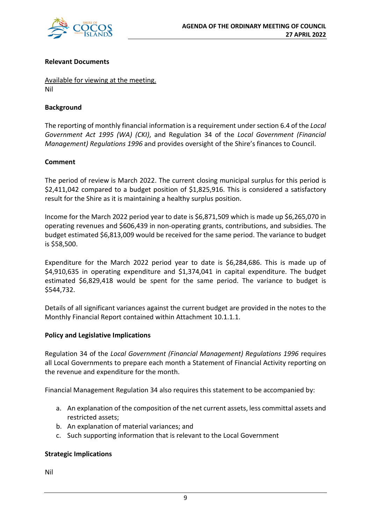

#### **Relevant Documents**

Available for viewing at the meeting. Nil

#### **Background**

The reporting of monthly financial information is a requirement under section 6.4 of the *Local Government Act 1995 (WA) (CKI)*, and Regulation 34 of the *Local Government (Financial Management) Regulations 1996* and provides oversight of the Shire's finances to Council.

#### **Comment**

The period of review is March 2022. The current closing municipal surplus for this period is \$2,411,042 compared to a budget position of \$1,825,916. This is considered a satisfactory result for the Shire as it is maintaining a healthy surplus position.

Income for the March 2022 period year to date is \$6,871,509 which is made up \$6,265,070 in operating revenues and \$606,439 in non-operating grants, contributions, and subsidies. The budget estimated \$6,813,009 would be received for the same period. The variance to budget is \$58,500.

Expenditure for the March 2022 period year to date is \$6,284,686. This is made up of \$4,910,635 in operating expenditure and \$1,374,041 in capital expenditure. The budget estimated \$6,829,418 would be spent for the same period. The variance to budget is \$544,732.

Details of all significant variances against the current budget are provided in the notes to the Monthly Financial Report contained within Attachment 10.1.1.1.

#### **Policy and Legislative Implications**

Regulation 34 of the *Local Government (Financial Management) Regulations 1996* requires all Local Governments to prepare each month a Statement of Financial Activity reporting on the revenue and expenditure for the month.

Financial Management Regulation 34 also requires this statement to be accompanied by:

- a. An explanation of the composition of the net current assets, less committal assets and restricted assets;
- b. An explanation of material variances; and
- c. Such supporting information that is relevant to the Local Government

#### **Strategic Implications**

Nil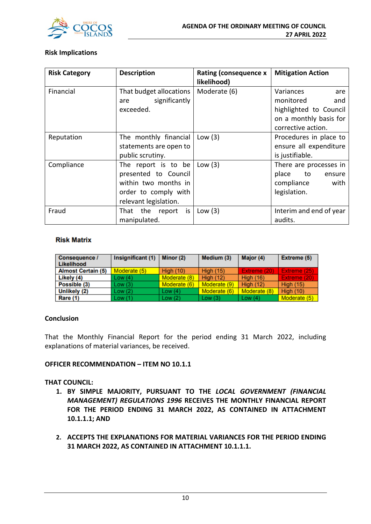

#### **Risk Implications**

| <b>Risk Category</b> | <b>Description</b>                                                                                                   | <b>Rating (consequence x</b><br>likelihood) | <b>Mitigation Action</b>                                                                                       |
|----------------------|----------------------------------------------------------------------------------------------------------------------|---------------------------------------------|----------------------------------------------------------------------------------------------------------------|
| Financial            | That budget allocations<br>significantly<br>are<br>exceeded.                                                         | Moderate (6)                                | Variances<br>are<br>monitored<br>and<br>highlighted to Council<br>on a monthly basis for<br>corrective action. |
| Reputation           | The monthly financial<br>statements are open to<br>public scrutiny.                                                  | Low $(3)$                                   | Procedures in place to<br>ensure all expenditure<br>is justifiable.                                            |
| Compliance           | The report is to be<br>presented to Council<br>within two months in<br>order to comply with<br>relevant legislation. | Low $(3)$                                   | There are processes in<br>place<br>to<br>ensure<br>compliance<br>with<br>legislation.                          |
| Fraud                | That the report is<br>manipulated.                                                                                   | Low $(3)$                                   | Interim and end of year<br>audits.                                                                             |

#### **Risk Matrix**

| Consequence /<br><b>Likelihood</b> | Insignificant (1) | Minor (2)    | Medium (3)       | Major (4)        | Extreme (5)      |
|------------------------------------|-------------------|--------------|------------------|------------------|------------------|
| <b>Almost Certain (5)</b>          | Moderate (5)      | High $(10)$  | <b>High (15)</b> | Extreme (20)     | Extreme (25)     |
| Likely (4)                         | Low(4)            | Moderate (8) | High $(12)$      | <b>High (16)</b> | Extreme (20)     |
| Possible (3)                       | Low(3)            | Moderate (6) | Moderate (9)     | <b>High (12)</b> | <b>High (15)</b> |
| Unlikely (2)                       | Low(2)            | Low $(4)$    | Moderate (6)     | Moderate (8)     | <b>High (10)</b> |
| Rare (1)                           | Low(1)            | Low $(2)$    | Low $(3)$        | Low $(4)$        | Moderate (5)     |

#### **Conclusion**

That the Monthly Financial Report for the period ending 31 March 2022, including explanations of material variances, be received.

#### **OFFICER RECOMMENDATION – ITEM NO 10.1.1**

#### **THAT COUNCIL:**

- **1. BY SIMPLE MAJORITY, PURSUANT TO THE** *LOCAL GOVERNMENT (FINANCIAL MANAGEMENT) REGULATIONS 1996* **RECEIVES THE MONTHLY FINANCIAL REPORT FOR THE PERIOD ENDING 31 MARCH 2022, AS CONTAINED IN ATTACHMENT 10.1.1.1; AND**
- **2. ACCEPTS THE EXPLANATIONS FOR MATERIAL VARIANCES FOR THE PERIOD ENDING 31 MARCH 2022, AS CONTAINED IN ATTACHMENT 10.1.1.1.**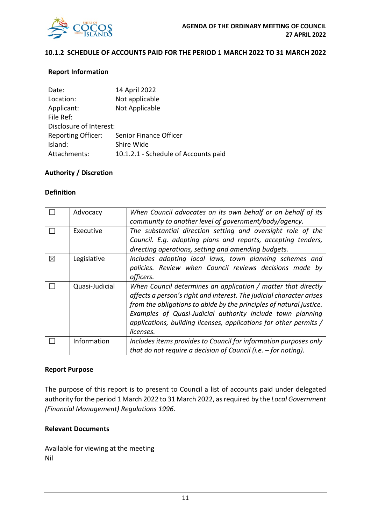

#### **10.1.2 SCHEDULE OF ACCOUNTS PAID FOR THE PERIOD 1 MARCH 2022 TO 31 MARCH 2022**

#### **Report Information**

| Date:                     | 14 April 2022                        |
|---------------------------|--------------------------------------|
| Location:                 | Not applicable                       |
| Applicant:                | Not Applicable                       |
| File Ref:                 |                                      |
| Disclosure of Interest:   |                                      |
| <b>Reporting Officer:</b> | Senior Finance Officer               |
| Island:                   | Shire Wide                           |
| Attachments:              | 10.1.2.1 - Schedule of Accounts paid |

#### **Authority / Discretion**

#### **Definition**

|             | Advocacy       | When Council advocates on its own behalf or on behalf of its<br>community to another level of government/body/agency.                                                                                                                                                                                                                                        |
|-------------|----------------|--------------------------------------------------------------------------------------------------------------------------------------------------------------------------------------------------------------------------------------------------------------------------------------------------------------------------------------------------------------|
|             | Executive      | The substantial direction setting and oversight role of the<br>Council. E.g. adopting plans and reports, accepting tenders,<br>directing operations, setting and amending budgets.                                                                                                                                                                           |
| $\boxtimes$ | Legislative    | Includes adopting local laws, town planning schemes and<br>policies. Review when Council reviews decisions made by<br>officers.                                                                                                                                                                                                                              |
|             | Quasi-Judicial | When Council determines an application / matter that directly<br>affects a person's right and interest. The judicial character arises<br>from the obligations to abide by the principles of natural justice.<br>Examples of Quasi-Judicial authority include town planning<br>applications, building licenses, applications for other permits /<br>licenses. |
|             | Information    | Includes items provides to Council for information purposes only<br>that do not require a decision of Council (i.e. $-$ for noting).                                                                                                                                                                                                                         |

#### **Report Purpose**

The purpose of this report is to present to Council a list of accounts paid under delegated authority for the period 1 March 2022 to 31 March 2022, as required by the *Local Government (Financial Management) Regulations 1996*.

#### **Relevant Documents**

Available for viewing at the meeting Nil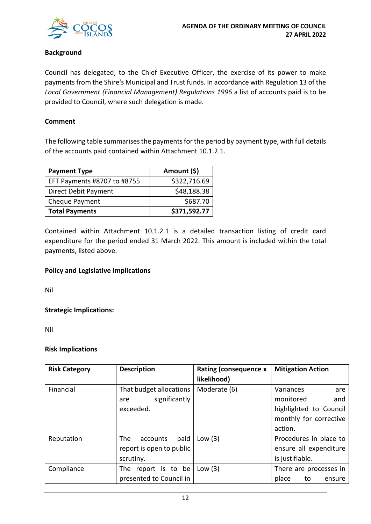

#### **Background**

Council has delegated, to the Chief Executive Officer, the exercise of its power to make payments from the Shire's Municipal and Trust funds. In accordance with Regulation 13 of the *Local Government (Financial Management) Regulations 1996* a list of accounts paid is to be provided to Council, where such delegation is made.

#### **Comment**

The following table summarises the payments for the period by payment type, with full details of the accounts paid contained within Attachment 10.1.2.1.

| <b>Payment Type</b>         | Amount (\$)  |
|-----------------------------|--------------|
| EFT Payments #8707 to #8755 | \$322,716.69 |
| Direct Debit Payment        | \$48,188.38  |
| Cheque Payment              | \$687.70     |
| <b>Total Payments</b>       | \$371,592.77 |

Contained within Attachment 10.1.2.1 is a detailed transaction listing of credit card expenditure for the period ended 31 March 2022. This amount is included within the total payments, listed above.

#### **Policy and Legislative Implications**

Nil

**Strategic Implications:**

Nil

#### **Risk Implications**

| <b>Risk Category</b> | <b>Description</b>       | <b>Rating (consequence x</b><br>likelihood) | <b>Mitigation Action</b> |
|----------------------|--------------------------|---------------------------------------------|--------------------------|
| Financial            | That budget allocations  | Moderate (6)                                | Variances<br>are         |
|                      | significantly<br>are     |                                             | monitored<br>and         |
|                      | exceeded.                |                                             | highlighted to Council   |
|                      |                          |                                             | monthly for corrective   |
|                      |                          |                                             | action.                  |
| Reputation           | The<br>paid<br>accounts  | Low $(3)$                                   | Procedures in place to   |
|                      | report is open to public |                                             | ensure all expenditure   |
|                      | scrutiny.                |                                             | is justifiable.          |
| Compliance           | The report is to be      | Low $(3)$                                   | There are processes in   |
|                      | presented to Council in  |                                             | place<br>to<br>ensure    |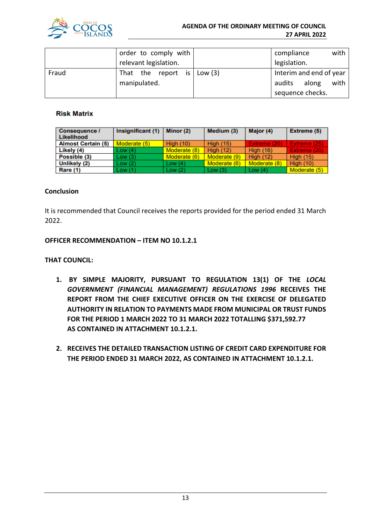

|       | order to comply with               |  | compliance              |       | with |  |  |
|-------|------------------------------------|--|-------------------------|-------|------|--|--|
|       | relevant legislation.              |  | legislation.            |       |      |  |  |
| Fraud | That the report is $\vert$ Low (3) |  | Interim and end of year |       |      |  |  |
|       | manipulated.                       |  | audits                  | along | with |  |  |
|       |                                    |  | sequence checks.        |       |      |  |  |

#### **Risk Matrix**

| Consequence /<br>Likelihood | Insignificant (1) | Minor $(2)$      | Medium (3)       | Major (4)        | Extreme (5)      |
|-----------------------------|-------------------|------------------|------------------|------------------|------------------|
| <b>Almost Certain (5)</b>   | Moderate (5)      | <b>High (10)</b> | <b>High (15)</b> | Extreme (20)     | Extreme (25)     |
| Likely (4)                  | Low(4)            | Moderate (8)     | <b>High (12)</b> | <b>High (16)</b> | Extreme (20)     |
| Possible (3)                | Low(3)            | Moderate (6)     | Moderate (9)     | <b>High (12)</b> | <b>High (15)</b> |
| Unlikely (2)                | Low(2)            | Low $(4)$        | Moderate (6)     | Moderate (8)     | <b>High (10)</b> |
| <b>Rare (1)</b>             | Low(1)            | Low $(2)$        | Low $(3)$        | Low $(4)$        | Moderate (5)     |

#### **Conclusion**

It is recommended that Council receives the reports provided for the period ended 31 March 2022.

#### **OFFICER RECOMMENDATION – ITEM NO 10.1.2.1**

#### **THAT COUNCIL:**

- **1. BY SIMPLE MAJORITY, PURSUANT TO REGULATION 13(1) OF THE** *LOCAL GOVERNMENT (FINANCIAL MANAGEMENT) REGULATIONS 1996* **RECEIVES THE REPORT FROM THE CHIEF EXECUTIVE OFFICER ON THE EXERCISE OF DELEGATED AUTHORITY IN RELATION TO PAYMENTS MADE FROM MUNICIPAL OR TRUST FUNDS FOR THE PERIOD 1 MARCH 2022 TO 31 MARCH 2022 TOTALLING \$371,592.77 AS CONTAINED IN ATTACHMENT 10.1.2.1.**
- **2. RECEIVES THE DETAILED TRANSACTION LISTING OF CREDIT CARD EXPENDITURE FOR THE PERIOD ENDED 31 MARCH 2022, AS CONTAINED IN ATTACHMENT 10.1.2.1.**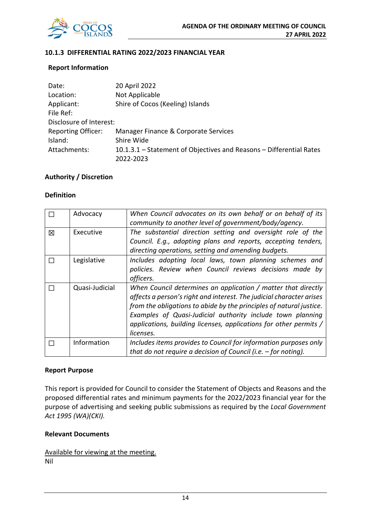

#### **10.1.3 DIFFERENTIAL RATING 2022/2023 FINANCIAL YEAR**

#### **Report Information**

| Date:                     | 20 April 2022                                                       |
|---------------------------|---------------------------------------------------------------------|
| Location:                 | Not Applicable                                                      |
| Applicant:                | Shire of Cocos (Keeling) Islands                                    |
| File Ref:                 |                                                                     |
| Disclosure of Interest:   |                                                                     |
| <b>Reporting Officer:</b> | Manager Finance & Corporate Services                                |
| Island:                   | Shire Wide                                                          |
| Attachments:              | 10.1.3.1 – Statement of Objectives and Reasons – Differential Rates |
|                           | 2022-2023                                                           |

#### **Authority / Discretion**

#### **Definition**

|   | Advocacy       | When Council advocates on its own behalf or on behalf of its<br>community to another level of government/body/agency.                                                                                                                                                                                                                                        |
|---|----------------|--------------------------------------------------------------------------------------------------------------------------------------------------------------------------------------------------------------------------------------------------------------------------------------------------------------------------------------------------------------|
| 冈 | Executive      | The substantial direction setting and oversight role of the<br>Council. E.g., adopting plans and reports, accepting tenders,<br>directing operations, setting and amending budgets.                                                                                                                                                                          |
|   | Legislative    | Includes adopting local laws, town planning schemes and<br>policies. Review when Council reviews decisions made by<br>officers.                                                                                                                                                                                                                              |
|   | Quasi-Judicial | When Council determines an application / matter that directly<br>affects a person's right and interest. The judicial character arises<br>from the obligations to abide by the principles of natural justice.<br>Examples of Quasi-Judicial authority include town planning<br>applications, building licenses, applications for other permits /<br>licenses. |
|   | Information    | Includes items provides to Council for information purposes only<br>that do not require a decision of Council (i.e. $-$ for noting).                                                                                                                                                                                                                         |

#### **Report Purpose**

This report is provided for Council to consider the Statement of Objects and Reasons and the proposed differential rates and minimum payments for the 2022/2023 financial year for the purpose of advertising and seeking public submissions as required by the *Local Government Act 1995 (WA)(CKI).*

#### **Relevant Documents**

Available for viewing at the meeting. Nil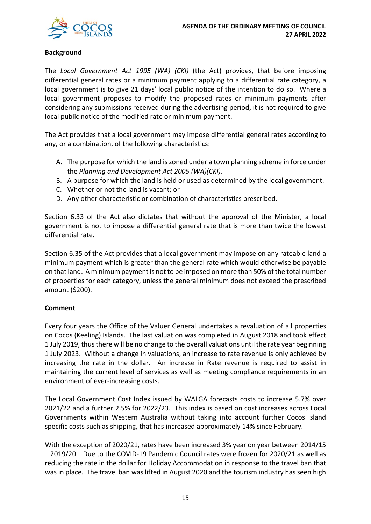

#### **Background**

The *Local Government Act 1995 (WA) (CKI)* (the Act) provides, that before imposing differential general rates or a minimum payment applying to a differential rate category, a local government is to give 21 days' local public notice of the intention to do so. Where a local government proposes to modify the proposed rates or minimum payments after considering any submissions received during the advertising period, it is not required to give local public notice of the modified rate or minimum payment.

The Act provides that a local government may impose differential general rates according to any, or a combination, of the following characteristics:

- A. The purpose for which the land is zoned under a town planning scheme in force under the *Planning and Development Act 2005 (WA)(CKI).*
- B. A purpose for which the land is held or used as determined by the local government.
- C. Whether or not the land is vacant; or
- D. Any other characteristic or combination of characteristics prescribed.

Section 6.33 of the Act also dictates that without the approval of the Minister, a local government is not to impose a differential general rate that is more than twice the lowest differential rate.

Section 6.35 of the Act provides that a local government may impose on any rateable land a minimum payment which is greater than the general rate which would otherwise be payable on that land. A minimum payment is not to be imposed on more than 50% of the total number of properties for each category, unless the general minimum does not exceed the prescribed amount (\$200).

#### **Comment**

Every four years the Office of the Valuer General undertakes a revaluation of all properties on Cocos (Keeling) Islands. The last valuation was completed in August 2018 and took effect 1 July 2019, thus there will be no change to the overall valuations until the rate year beginning 1 July 2023. Without a change in valuations, an increase to rate revenue is only achieved by increasing the rate in the dollar. An increase in Rate revenue is required to assist in maintaining the current level of services as well as meeting compliance requirements in an environment of ever-increasing costs.

The Local Government Cost Index issued by WALGA forecasts costs to increase 5.7% over 2021/22 and a further 2.5% for 2022/23. This index is based on cost increases across Local Governments within Western Australia without taking into account further Cocos Island specific costs such as shipping, that has increased approximately 14% since February.

With the exception of 2020/21, rates have been increased 3% year on year between 2014/15 – 2019/20. Due to the COVID-19 Pandemic Council rates were frozen for 2020/21 as well as reducing the rate in the dollar for Holiday Accommodation in response to the travel ban that was in place. The travel ban was lifted in August 2020 and the tourism industry has seen high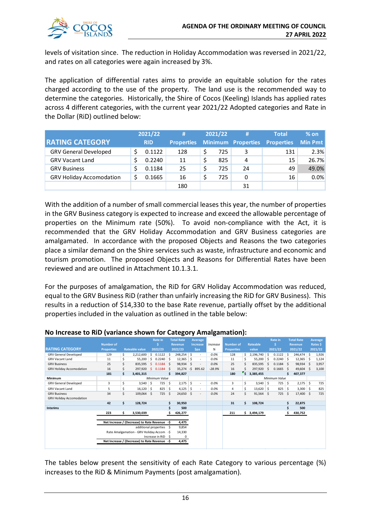

levels of visitation since. The reduction in Holiday Accommodation was reversed in 2021/22, and rates on all categories were again increased by 3%.

The application of differential rates aims to provide an equitable solution for the rates charged according to the use of the property. The land use is the recommended way to determine the categories. Historically, the Shire of Cocos (Keeling) Islands has applied rates across 4 different categories, with the current year 2021/22 Adopted categories and Rate in the Dollar (RiD) outlined below:

|                                 | 2021/22    | #                 |   | 2021/22 | #  | <b>Total</b>                         | $%$ on         |
|---------------------------------|------------|-------------------|---|---------|----|--------------------------------------|----------------|
| <b>RATING CATEGORY</b>          | <b>RID</b> | <b>Properties</b> |   |         |    | <b>Minimum Properties Properties</b> | <b>Min Pmt</b> |
| <b>GRV General Developed</b>    | 0.1122     | 128               | S | 725     | 3  | 131                                  | 2.3%           |
| <b>GRV Vacant Land</b>          | 0.2240     | 11                | S | 825     | 4  | 15                                   | 26.7%          |
| <b>GRV Business</b>             | 0.1184     | 25                |   | 725     | 24 | 49                                   | 49.0%          |
| <b>GRV Holiday Accomodation</b> | 0.1665     | 16                |   | 725     | 0  | 16                                   | 0.0%           |
|                                 |            | 180               |   |         | 31 |                                      |                |

With the addition of a number of small commercial leases this year, the number of properties in the GRV Business category is expected to increase and exceed the allowable percentage of properties on the Minimum rate (50%). To avoid non-compliance with the Act, it is recommended that the GRV Holiday Accommodation and GRV Business categories are amalgamated. In accordance with the proposed Objects and Reasons the two categories place a similar demand on the Shire services such as waste, infrastructure and economic and tourism promotion. The proposed Objects and Reasons for Differential Rates have been reviewed and are outlined in Attachment 10.1.3.1.

For the purposes of amalgamation, the RiD for GRV Holiday Accommodation was reduced, equal to the GRV Business RiD (rather than unfairly increasing the RiD for GRV Business). This results in a reduction of \$14,330 to the base Rate revenue, partially offset by the additional properties included in the valuation as outlined in the table below:

|                                 | <b>Number of</b>      |    |                                               |    | <b>Rate in</b> |     | <b>Total Rate</b><br>Revenue |     | Average<br><b>Increase</b> | Increase | <b>Number of</b>  |                         | Rateable    |              | <b>Rate in</b> |     | <b>Total Rate</b><br><b>Revenue</b> |    | <b>Average</b><br>Rates \$ |
|---------------------------------|-----------------------|----|-----------------------------------------------|----|----------------|-----|------------------------------|-----|----------------------------|----------|-------------------|-------------------------|-------------|--------------|----------------|-----|-------------------------------------|----|----------------------------|
| <b>RATING CATEGORY</b>          | <b>Properties</b>     |    | <b>Rateable value</b>                         |    | 2022/23        |     | 2022/23                      |     | \$pa                       | %        | <b>Properties</b> |                         | value       |              | 2021/22        |     | 2021/22                             |    | 2021/22                    |
| <b>GRV General Developed</b>    | 129                   | \$ | 2,212,600                                     | \$ | 0.1122         | -S  | 248,254                      | \$  | $\sim$                     | 0.0%     | 128               | Ś.                      | 2,196,740   | Ŝ.           | $0.1122$ \$    |     | 246,474                             | Ŝ. | 1,926                      |
| <b>GRV Vacant Land</b>          | 11                    | \$ | 55,200                                        | Ŝ. | 0.2240         | Ŝ.  | 12,365                       | Ŝ   | $\overline{\phantom{a}}$   | 0.0%     | 11                | Ś.                      | 55,200      | Ŝ.           | 0.2240         | .\$ | 12,365                              | .s | 1,124                      |
| <b>GRV Business</b>             | 25                    | Ś  | 835,595                                       | Ŝ. | 0.1184         | Ŝ.  | 98,934                       | Ŝ.  | $\overline{\phantom{a}}$   | 0.0%     | 25                | Ś                       | 835,595     | $\mathsf{s}$ | $0.1184$ \$    |     | 98,934                              | -Ś | 3,957                      |
| <b>GRV Holiday Accomodation</b> | 16                    | Ś. | 297.920                                       | S. | 0.1184         | Ŝ.  | 35,274                       | -\$ | 895.62                     | $-28.9%$ | 16                |                         | 297.920     | Ŝ.           | 0.1665         | -Ś  | 49,604                              | -Ś | 3,100                      |
|                                 | 181                   | \$ | 3,401,315                                     |    |                | Ś.  | 394,827                      |     |                            |          | 180               | $\overline{\mathsf{s}}$ | 3,385,455   |              |                | Ś   | 407,377                             |    |                            |
| Minimum                         |                       |    |                                               |    | Minimum Value  |     |                              |     |                            |          |                   |                         |             |              | Minimum Value  |     |                                     |    |                            |
| <b>GRV General Developed</b>    | 3                     | \$ | $3,540$ \$                                    |    | 725            | \$  | 2,175                        | \$  | ٠                          | 0.0%     | 3                 | \$                      | $3,540$ \$  |              | 725            | S.  | 2,175                               | \$ | 725                        |
| <b>GRV Vacant Land</b>          | 5                     | \$ | 16,120                                        | 5  | 825            | \$  | 4,125                        | \$  | $\overline{\phantom{a}}$   | 0.0%     | 4                 | Ś.                      | $13,620$ \$ |              | 825            | -\$ | 3,300                               | \$ | 825                        |
| <b>GRV Business</b>             | 34                    | Ś. | 109,064 \$                                    |    | 725            | Ŝ.  | 24,650 \$                    |     | $\overline{\phantom{a}}$   | 0.0%     | 24                | \$                      | 91,564      | S.           | 725            | -Ś  | 17,400 \$                           |    | 725                        |
| <b>GRV Holiday Accomodation</b> |                       |    |                                               |    |                |     |                              |     |                            |          |                   |                         |             |              |                |     |                                     |    |                            |
|                                 | 42                    | \$ | 128,724                                       |    |                | Ś   | 30,950                       |     |                            |          | 31                | Ś                       | 108,724     |              |                | Ś   | 22,875                              |    |                            |
| <b>Interims</b>                 |                       |    |                                               |    |                | Ś   | 500                          |     |                            |          |                   |                         |             |              |                | \$  | 500                                 |    |                            |
|                                 | 223                   | \$ | 3,530,039                                     |    |                | Ś   | 426,277                      |     |                            |          | 211               | \$                      | 3,494,179   |              |                | Ŝ   | 430,752                             |    |                            |
|                                 |                       |    |                                               |    |                |     |                              |     |                            |          |                   |                         |             |              |                |     |                                     |    |                            |
|                                 |                       |    | Net Increase / (Decrease) to Rate Revenue -\$ |    |                |     | 4,475                        |     |                            |          |                   |                         |             |              |                |     |                                     |    |                            |
|                                 | additional properties |    |                                               | -S | 9,854          |     |                              |     |                            |          |                   |                         |             |              |                |     |                                     |    |                            |
|                                 |                       |    | Rate Amalgamation - GRV Holiday Accom         |    |                | -\$ | 14,330                       |     |                            |          |                   |                         |             |              |                |     |                                     |    |                            |
|                                 | Increase in RiD       |    |                                               | -S | 0              |     |                              |     |                            |          |                   |                         |             |              |                |     |                                     |    |                            |
|                                 |                       |    | Net Increase / (Decrease) to Rate Revenue -\$ |    |                |     | 4,475                        |     |                            |          |                   |                         |             |              |                |     |                                     |    |                            |
|                                 |                       |    |                                               |    |                |     |                              |     |                            |          |                   |                         |             |              |                |     |                                     |    |                            |

#### **No Increase to RiD (variance shown for Category Amalgamation):**

The tables below present the sensitivity of each Rate Category to various percentage (%) increases to the RiD & Minimum Payments (post amalgamation).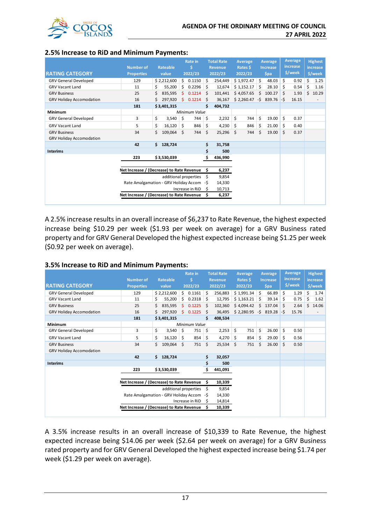

#### **2.5% Increase to RiD and Minimum Payments:**

|                                 |                                           |                                           |             | <b>Rate in</b> |                       | <b>Total Rate</b> |                | Average |            | Average |                  | <b>Average</b><br>increase |         | <b>Highest</b> |                          |
|---------------------------------|-------------------------------------------|-------------------------------------------|-------------|----------------|-----------------------|-------------------|----------------|---------|------------|---------|------------------|----------------------------|---------|----------------|--------------------------|
|                                 | <b>Number of</b>                          |                                           | Rateable    |                | Ś                     |                   | <b>Revenue</b> |         | Rates \$   |         | <b>Increase</b>  |                            |         |                | <b>increase</b>          |
| <b>RATING CATEGORY</b>          | <b>Properties</b>                         |                                           | value       | 2022/23        |                       |                   | 2022/23        | 2022/23 |            |         | <b>Spa</b>       |                            | \$/week |                | \$/week                  |
| <b>GRV General Developed</b>    | 129                                       |                                           | \$2,212,600 |                | \$0.1150              | Ŝ.                | 254,449        |         | \$1,972.47 | Ś.      | 48.03            | \$                         | 0.92    | Ś.             | 1.25                     |
| <b>GRV Vacant Land</b>          | 11                                        | Ś                                         | 55,200      | \$             | 0.2296                | Ŝ.                | 12,674         |         | \$1,152.17 | \$      | 28.10            | \$                         | 0.54    | \$             | 1.16                     |
| <b>GRV Business</b>             | 25                                        |                                           | 835,595     | Ŝ.             | 0.1214                | Ŝ                 | 101,441        |         | \$4,057.65 | Ś.      | 100.27           | Ś.                         | 1.93    |                | \$10.29                  |
| <b>GRV Holiday Accomodation</b> | 16                                        |                                           | 297,920     |                | \$0.1214              | Ŝ                 | 36,167         |         | \$2,260.47 |         | $-5$ 839.76 $-5$ |                            | 16.15   |                | $\overline{\phantom{a}}$ |
|                                 | 181                                       |                                           | \$3,401,315 |                |                       | \$                | 404,732        |         |            |         |                  |                            |         |                |                          |
| Minimum                         |                                           |                                           |             |                | Minimum Value         |                   |                |         |            |         |                  |                            |         |                |                          |
| <b>GRV General Developed</b>    | 3                                         | \$                                        | 3,540       | -\$            | 744                   | \$                | 2,232          | \$      | 744        | \$      | 19.00            | \$                         | 0.37    |                |                          |
| <b>GRV Vacant Land</b>          | 5                                         | \$                                        | 16,120      | 5              | 846                   | \$                | 4,230          | -S      | 846        | \$      | 21.00            | \$                         | 0.40    |                |                          |
| <b>GRV Business</b>             | 34                                        | Ś                                         | 109,064     | - Ś            | 744                   | Ś                 | 25,296         | Ŝ.      | 744        | \$      | 19.00            | Ś.                         | 0.37    |                |                          |
| <b>GRV Holiday Accomodation</b> |                                           |                                           |             |                |                       |                   |                |         |            |         |                  |                            |         |                |                          |
|                                 | 42                                        | \$                                        | 128,724     |                |                       | \$                | 31,758         |         |            |         |                  |                            |         |                |                          |
| <b>Interims</b>                 |                                           |                                           |             |                |                       | \$                | 500            |         |            |         |                  |                            |         |                |                          |
|                                 | 223                                       |                                           | \$3,530,039 |                |                       | \$                | 436,990        |         |            |         |                  |                            |         |                |                          |
|                                 |                                           |                                           |             |                |                       |                   |                |         |            |         |                  |                            |         |                |                          |
|                                 | Net Increase / (Decrease) to Rate Revenue |                                           |             |                |                       | s                 | 6,237          |         |            |         |                  |                            |         |                |                          |
|                                 |                                           |                                           |             |                | additional properties | Ŝ                 | 9,854          |         |            |         |                  |                            |         |                |                          |
|                                 | Rate Amalgamation - GRV Holiday Accom -\$ |                                           |             |                |                       |                   | 14,330         |         |            |         |                  |                            |         |                |                          |
|                                 | Increase in RiD                           |                                           |             |                |                       | S                 | 10,713         |         |            |         |                  |                            |         |                |                          |
|                                 |                                           | Net Increase / (Decrease) to Rate Revenue |             |                |                       |                   | 6,237          |         |            |         |                  |                            |         |                |                          |
|                                 |                                           |                                           |             |                |                       |                   |                |         |            |         |                  |                            |         |                |                          |

A 2.5% increase results in an overall increase of \$6,237 to Rate Revenue, the highest expected increase being \$10.29 per week (\$1.93 per week on average) for a GRV Business rated property and for GRV General Developed the highest expected increase being \$1.25 per week (\$0.92 per week on average).

#### **3.5% Increase to RiD and Minimum Payments:**

| <b>RATING CATEGORY</b>          | <b>Number of</b><br><b>Properties</b>     | <b>Rateable</b><br>value |                       | <b>Rate in</b><br>2022/23 |               | <b>Total Rate</b><br><b>Revenue</b><br>2022/23 | Average<br>Rates \$<br>2022/23 |    | Average<br><b>Increase</b><br>\$pa |    | Average<br>increase,<br>\$/week |     | <b>Highest</b><br>increase<br>\$/week |    |       |
|---------------------------------|-------------------------------------------|--------------------------|-----------------------|---------------------------|---------------|------------------------------------------------|--------------------------------|----|------------------------------------|----|---------------------------------|-----|---------------------------------------|----|-------|
| <b>GRV General Developed</b>    | 129                                       |                          | \$2,212,600           |                           | \$0.1161      | Ś.                                             | 256,883                        |    | \$1,991.34                         | Ŝ. | 66.89                           | \$  | 1.29                                  | \$ | 1.74  |
| <b>GRV Vacant Land</b>          | 11                                        |                          | 55,200                | Ś.                        | 0.2318        | Ŝ.                                             | 12,795                         |    | \$1,163.21                         | Ŝ  | 39.14                           | \$  | 0.75                                  | Ś  | 1.62  |
| <b>GRV Business</b>             | 25                                        | Ś                        | 835,595               | Ŝ.                        | 0.1225        | Ś                                              | 102,360                        |    | \$4,094.42                         | Ś. | 137.04                          | S.  | 2.64                                  | Ś. | 14.06 |
| <b>GRV Holiday Accomodation</b> | 16                                        | Ś.                       | 297,920               | S.                        | 0.1225        | Ŝ                                              | 36,495                         |    | $$2,280.95$ -\$ 819.28             |    |                                 | l-s | 15.76                                 |    |       |
|                                 | 181                                       |                          | \$3,401,315           |                           |               | \$                                             | 408,534                        |    |                                    |    |                                 |     |                                       |    |       |
| <b>Minimum</b>                  |                                           |                          |                       |                           | Minimum Value |                                                |                                |    |                                    |    |                                 |     |                                       |    |       |
| <b>GRV General Developed</b>    | 3                                         | \$                       | 3,540                 | \$                        | 751           | \$                                             | 2,253                          | \$ | 751                                | \$ | 26.00                           | \$  | 0.50                                  |    |       |
| <b>GRV Vacant Land</b>          | 5                                         | \$                       | 16,120                | Ŝ.                        | 854           | \$                                             | 4,270                          | Ŝ. | 854                                | \$ | 29.00                           | Ŝ.  | 0.56                                  |    |       |
| <b>GRV Business</b>             | 34                                        | Ś                        | 109,064               | Ŝ.                        | 751           | \$                                             | 25,534                         | Ŝ  | 751                                | \$ | 26.00                           | Ŝ.  | 0.50                                  |    |       |
| <b>GRV Holiday Accomodation</b> |                                           |                          |                       |                           |               |                                                |                                |    |                                    |    |                                 |     |                                       |    |       |
|                                 | 42                                        | Ś.                       | 128,724               |                           |               | \$                                             | 32,057                         |    |                                    |    |                                 |     |                                       |    |       |
| <b>Interims</b>                 |                                           |                          |                       |                           |               | \$                                             | 500                            |    |                                    |    |                                 |     |                                       |    |       |
|                                 | 223                                       |                          | \$3,530,039           |                           |               | \$.                                            | 441,091                        |    |                                    |    |                                 |     |                                       |    |       |
|                                 |                                           |                          |                       |                           |               |                                                |                                |    |                                    |    |                                 |     |                                       |    |       |
|                                 | Net Increase / (Decrease) to Rate Revenue |                          |                       |                           |               | S                                              | 10,339                         |    |                                    |    |                                 |     |                                       |    |       |
|                                 |                                           |                          | additional properties |                           |               | S                                              | 9,854                          |    |                                    |    |                                 |     |                                       |    |       |
|                                 | Rate Amalgamation - GRV Holiday Accom -\$ |                          |                       |                           |               |                                                | 14,330                         |    |                                    |    |                                 |     |                                       |    |       |
|                                 | Increase in RiD                           |                          |                       |                           |               |                                                | 14,814                         |    |                                    |    |                                 |     |                                       |    |       |
|                                 | Net Increase / (Decrease) to Rate Revenue |                          |                       |                           |               | Ś                                              | 10,339                         |    |                                    |    |                                 |     |                                       |    |       |
|                                 |                                           |                          |                       |                           |               |                                                |                                |    |                                    |    |                                 |     |                                       |    |       |

A 3.5% increase results in an overall increase of \$10,339 to Rate Revenue, the highest expected increase being \$14.06 per week (\$2.64 per week on average) for a GRV Business rated property and for GRV General Developed the highest expected increase being \$1.74 per week (\$1.29 per week on average).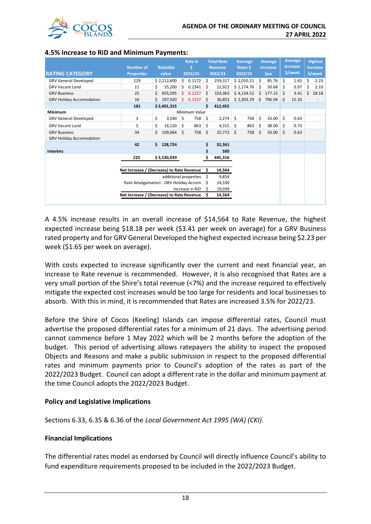

|                                 | <b>Number of</b>                          |                                           | Rateable              | <b>Rate in</b><br>s. |               | <b>Total Rate</b><br><b>Revenue</b> |             | Average<br>Rates \$ |            | Average<br><b>Increase</b> |        | Average<br>increase |         | <b>Highest</b><br><b>increase</b> |         |
|---------------------------------|-------------------------------------------|-------------------------------------------|-----------------------|----------------------|---------------|-------------------------------------|-------------|---------------------|------------|----------------------------|--------|---------------------|---------|-----------------------------------|---------|
| <b>RATING CATEGORY</b>          | <b>Properties</b>                         |                                           | value                 |                      | 2022/23       |                                     | 2022/23     | 2022/23             |            | <b>Spa</b>                 |        |                     | \$/week |                                   | \$/week |
| <b>GRV General Developed</b>    | 129                                       |                                           | \$2,212,600           |                      | \$0.1172      | Ŝ.                                  | 259,317     |                     | \$2,010.21 | Ŝ.                         | 85.76  | Ś.                  | 1.65    | \$                                | 2.23    |
| <b>GRV Vacant Land</b>          | 11                                        | Ś.                                        | 55,200                | Ŝ                    | 0.2341        | Ś                                   | 12,922      |                     | \$1,174.76 | Ś.                         | 50.68  | Ś.                  | 0.97    | \$                                | 2.10    |
| <b>GRV Business</b>             | 25                                        | Ś                                         | 835,595               | Ŝ                    | 0.1237        | Ŝ                                   | 103,363     |                     | \$4,134.52 | Ś.                         | 177.15 | Ś.                  | 3.41    | Ś.                                | 18.18   |
| <b>GRV Holiday Accomodation</b> | 16                                        | Ś                                         | 297,920               | Ŝ                    | 0.1237        | Ś                                   | 36,853      |                     | \$2,303.29 | -\$                        | 796.94 | l-s                 | 15.33   |                                   |         |
|                                 | 181                                       |                                           | \$3,401,315           |                      |               | Ś                                   | 412,455     |                     |            |                            |        |                     |         |                                   |         |
| Minimum                         |                                           |                                           |                       |                      | Minimum Value |                                     |             |                     |            |                            |        |                     |         |                                   |         |
| <b>GRV General Developed</b>    | 3                                         | \$                                        | 3,540                 | -\$                  | 758           | \$                                  | 2,274       | \$                  | 758        | \$                         | 33.00  | \$                  | 0.63    |                                   |         |
| <b>GRV Vacant Land</b>          | 5                                         | \$                                        | $16,120$ \$           |                      | 863           | \$                                  | 4,315       | Ŝ                   | 863        | \$                         | 38.00  | \$                  | 0.73    |                                   |         |
| <b>GRV Business</b>             | 34                                        | Ś                                         | 109,064 \$            |                      | 758           | Ś.                                  | $25,772$ \$ |                     | 758        | Ś                          | 33.00  | Ś                   | 0.63    |                                   |         |
| <b>GRV Holiday Accomodation</b> |                                           |                                           |                       |                      |               |                                     |             |                     |            |                            |        |                     |         |                                   |         |
|                                 | 42                                        | \$                                        | 128,724               |                      |               | \$                                  | 32,361      |                     |            |                            |        |                     |         |                                   |         |
| <b>Interims</b>                 |                                           |                                           |                       |                      |               | \$                                  | 500         |                     |            |                            |        |                     |         |                                   |         |
|                                 | 223                                       |                                           | \$3,530,039           |                      |               | \$                                  | 445,316     |                     |            |                            |        |                     |         |                                   |         |
|                                 | Net Increase / (Decrease) to Rate Revenue |                                           |                       |                      |               | s                                   | 14,564      |                     |            |                            |        |                     |         |                                   |         |
|                                 |                                           |                                           | additional properties |                      |               | S                                   | 9,854       |                     |            |                            |        |                     |         |                                   |         |
|                                 |                                           | Rate Amalgamation - GRV Holiday Accom -\$ |                       |                      |               |                                     | 14,330      |                     |            |                            |        |                     |         |                                   |         |
|                                 | Increase in RiD                           |                                           |                       |                      |               |                                     | 19,039      |                     |            |                            |        |                     |         |                                   |         |
|                                 |                                           | Net Increase / (Decrease) to Rate Revenue |                       |                      |               | 14,564                              |             |                     |            |                            |        |                     |         |                                   |         |
|                                 |                                           |                                           |                       |                      |               |                                     |             |                     |            |                            |        |                     |         |                                   |         |

#### **4.5% Increase to RiD and Minimum Payments:**

A 4.5% increase results in an overall increase of \$14,564 to Rate Revenue, the highest expected increase being \$18.18 per week (\$3.41 per week on average) for a GRV Business rated property and for GRV General Developed the highest expected increase being \$2.23 per week (\$1.65 per week on average).

With costs expected to increase significantly over the current and next financial year, an increase to Rate revenue is recommended. However, it is also recognised that Rates are a very small portion of the Shire's total revenue (<7%) and the increase required to effectively mitigate the expected cost increases would be too large for residents and local businesses to absorb. With this in mind, it is recommended that Rates are increased 3.5% for 2022/23.

Before the Shire of Cocos (Keeling) Islands can impose differential rates, Council must advertise the proposed differential rates for a minimum of 21 days. The advertising period cannot commence before 1 May 2022 which will be 2 months before the adoption of the budget. This period of advertising allows ratepayers the ability to inspect the proposed Objects and Reasons and make a public submission in respect to the proposed differential rates and minimum payments prior to Council's adoption of the rates as part of the 2022/2023 Budget. Council can adopt a different rate in the dollar and minimum payment at the time Council adopts the 2022/2023 Budget.

#### **Policy and Legislative Implications**

Sections 6.33, 6.35 & 6.36 of the *Local Government Act 1995 (WA) (CKI)*.

#### **Financial Implications**

The differential rates model as endorsed by Council will directly influence Council's ability to fund expenditure requirements proposed to be included in the 2022/2023 Budget.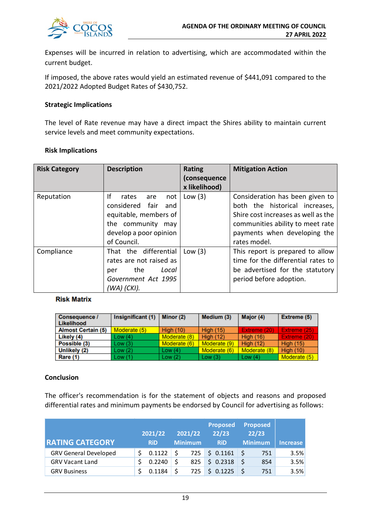

Expenses will be incurred in relation to advertising, which are accommodated within the current budget.

If imposed, the above rates would yield an estimated revenue of \$441,091 compared to the 2021/2022 Adopted Budget Rates of \$430,752.

#### **Strategic Implications**

The level of Rate revenue may have a direct impact the Shires ability to maintain current service levels and meet community expectations.

#### **Risk Implications**

| <b>Risk Category</b> | <b>Description</b>                                                                                                                         | Rating<br>(consequence<br>x likelihood) | <b>Mitigation Action</b>                                                                                                                                                                     |
|----------------------|--------------------------------------------------------------------------------------------------------------------------------------------|-----------------------------------------|----------------------------------------------------------------------------------------------------------------------------------------------------------------------------------------------|
| Reputation           | Ιf<br>rates<br>not<br>are<br>considered fair<br>and<br>equitable, members of<br>the community may<br>develop a poor opinion<br>of Council. | Low $(3)$                               | Consideration has been given to<br>both the historical increases,<br>Shire cost increases as well as the<br>communities ability to meet rate<br>payments when developing the<br>rates model. |
| Compliance           | That the differential<br>rates are not raised as<br>the<br>Local<br>per<br>Government Act 1995<br>(WA) (CKI).                              | Low $(3)$                               | This report is prepared to allow<br>time for the differential rates to<br>be advertised for the statutory<br>period before adoption.                                                         |

#### **Risk Matrix**

| Consequence /<br>Likelihood | Insignificant (1) | Minor (2)        | Medium (3)       | Major (4)        | Extreme (5)      |
|-----------------------------|-------------------|------------------|------------------|------------------|------------------|
| <b>Almost Certain (5)</b>   | Moderate (5)      | <b>High (10)</b> | <b>High (15)</b> | Extreme (20)     | Extreme (25)     |
| Likely (4)                  | Low (4)           | Moderate (8)     | High $(12)$      | <b>High (16)</b> | Extreme (20)     |
| Possible (3)                | Low (3)           | Moderate (6)     | Moderate (9)     | <b>High (12)</b> | <b>High (15)</b> |
| Unlikely (2)                | Low (2)           | Low $(4)$        | Moderate (6)     | Moderate (8)     | <b>High (10)</b> |
| <b>Rare (1)</b>             | Low (1)           | Low(2)           | Low(3)           | Low $(4)$        | Moderate (5)     |

#### **Conclusion**

The officer's recommendation is for the statement of objects and reasons and proposed differential rates and minimum payments be endorsed by Council for advertising as follows:

| <b>RATING CATEGORY</b>       | 2021/22<br><b>RiD</b> | 2021/22<br><b>Minimum</b> | <b>Proposed</b><br>22/23<br><b>RiD</b> | <b>Proposed</b><br>22/23<br><b>Minimum</b> | Increase |
|------------------------------|-----------------------|---------------------------|----------------------------------------|--------------------------------------------|----------|
| <b>GRV General Developed</b> | 0.1122                |                           | $725$ \$ 0.1161 \$                     | 751                                        | 3.5%     |
| <b>GRV Vacant Land</b>       | 0.2240                | 825                       | \$0.2318                               | 854                                        | 3.5%     |
| <b>GRV Business</b>          | 0.1184                | 725                       | \$0.1225                               | 751                                        | 3.5%     |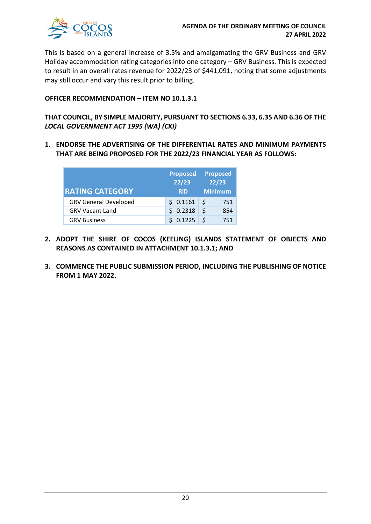

This is based on a general increase of 3.5% and amalgamating the GRV Business and GRV Holiday accommodation rating categories into one category – GRV Business. This is expected to result in an overall rates revenue for 2022/23 of \$441,091, noting that some adjustments may still occur and vary this result prior to billing.

#### **OFFICER RECOMMENDATION – ITEM NO 10.1.3.1**

#### **THAT COUNCIL, BY SIMPLE MAJORITY, PURSUANT TO SECTIONS 6.33, 6.35 AND 6.36 OF THE**  *LOCAL GOVERNMENT ACT 1995 (WA) (CKI)*

**1. ENDORSE THE ADVERTISING OF THE DIFFERENTIAL RATES AND MINIMUM PAYMENTS THAT ARE BEING PROPOSED FOR THE 2022/23 FINANCIAL YEAR AS FOLLOWS:**

| <b>RATING CATEGORY</b>       | <b>Proposed</b><br>22/23<br><b>RiD</b> | <b>Proposed</b><br>22/23<br><b>Minimum</b> |
|------------------------------|----------------------------------------|--------------------------------------------|
| <b>GRV General Developed</b> | \$0.1161                               | <sub>S</sub><br>751                        |
| <b>GRV Vacant Land</b>       | \$0.2318                               | Ŝ.<br>854                                  |
| <b>GRV Business</b>          | \$0.1225                               | 751                                        |

- **2. ADOPT THE SHIRE OF COCOS (KEELING) ISLANDS STATEMENT OF OBJECTS AND REASONS AS CONTAINED IN ATTACHMENT 10.1.3.1; AND**
- **3. COMMENCE THE PUBLIC SUBMISSION PERIOD, INCLUDING THE PUBLISHING OF NOTICE FROM 1 MAY 2022.**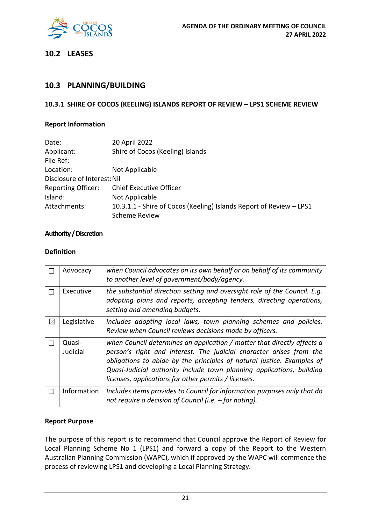

## **10.2 LEASES**

#### **10.3 PLANNING/BUILDING**

#### **10.3.1 SHIRE OF COCOS (KEELING) ISLANDS REPORT OF REVIEW – LPS1 SCHEME REVIEW**

#### **Report Information**

| Date:                       | 20 April 2022                                                       |
|-----------------------------|---------------------------------------------------------------------|
| Applicant:<br>File Ref:     | Shire of Cocos (Keeling) Islands                                    |
| Location:                   | Not Applicable                                                      |
| Disclosure of Interest: Nil |                                                                     |
| <b>Reporting Officer:</b>   | <b>Chief Executive Officer</b>                                      |
| Island:                     | Not Applicable                                                      |
| Attachments:                | 10.3.1.1 - Shire of Cocos (Keeling) Islands Report of Review - LPS1 |
|                             | <b>Scheme Review</b>                                                |

#### **Authority / Discretion**

#### **Definition**

|             | Advocacy           | when Council advocates on its own behalf or on behalf of its community<br>to another level of government/body/agency.                                                                                                                                                                                                                                     |
|-------------|--------------------|-----------------------------------------------------------------------------------------------------------------------------------------------------------------------------------------------------------------------------------------------------------------------------------------------------------------------------------------------------------|
|             | Executive          | the substantial direction setting and oversight role of the Council. E.g.<br>adopting plans and reports, accepting tenders, directing operations,<br>setting and amending budgets.                                                                                                                                                                        |
| $\boxtimes$ | Legislative        | includes adopting local laws, town planning schemes and policies.<br>Review when Council reviews decisions made by officers.                                                                                                                                                                                                                              |
|             | Quasi-<br>Judicial | when Council determines an application / matter that directly affects a<br>person's right and interest. The judicial character arises from the<br>obligations to abide by the principles of natural justice. Examples of<br>Quasi-Judicial authority include town planning applications, building<br>licenses, applications for other permits / licenses. |
|             | Information        | Includes items provides to Council for information purposes only that do<br>not require a decision of Council (i.e. - for noting).                                                                                                                                                                                                                        |

#### **Report Purpose**

The purpose of this report is to recommend that Council approve the Report of Review for Local Planning Scheme No 1 (LPS1) and forward a copy of the Report to the Western Australian Planning Commission (WAPC), which if approved by the WAPC will commence the process of reviewing LPS1 and developing a Local Planning Strategy.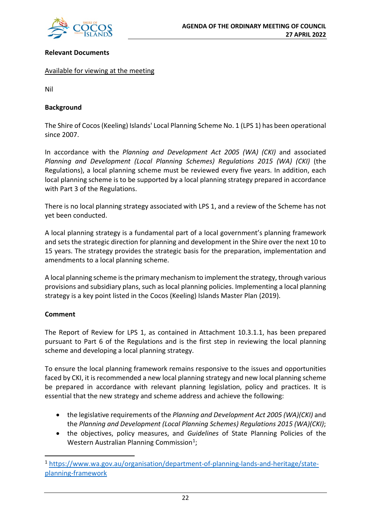

#### **Relevant Documents**

#### Available for viewing at the meeting

Nil

#### **Background**

The Shire of Cocos (Keeling) Islands' Local Planning Scheme No. 1 (LPS 1) has been operational since 2007.

In accordance with the *Planning and Development Act 2005 (WA) (CKI)* and associated *Planning and Development (Local Planning Schemes) Regulations 2015 (WA) (CKI)* (the Regulations), a local planning scheme must be reviewed every five years. In addition, each local planning scheme is to be supported by a local planning strategy prepared in accordance with Part 3 of the Regulations.

There is no local planning strategy associated with LPS 1, and a review of the Scheme has not yet been conducted.

A local planning strategy is a fundamental part of a local government's planning framework and sets the strategic direction for planning and development in the Shire over the next 10 to 15 years. The strategy provides the strategic basis for the preparation, implementation and amendments to a local planning scheme.

A local planning scheme is the primary mechanism to implement the strategy, through various provisions and subsidiary plans, such as local planning policies. Implementing a local planning strategy is a key point listed in the Cocos (Keeling) Islands Master Plan (2019).

#### **Comment**

The Report of Review for LPS 1, as contained in Attachment 10.3.1.1, has been prepared pursuant to Part 6 of the Regulations and is the first step in reviewing the local planning scheme and developing a local planning strategy.

To ensure the local planning framework remains responsive to the issues and opportunities faced by CKI, it is recommended a new local planning strategy and new local planning scheme be prepared in accordance with relevant planning legislation, policy and practices. It is essential that the new strategy and scheme address and achieve the following:

- the legislative requirements of the *Planning and Development Act 2005 (WA)(CKI)* and the *Planning and Development (Local Planning Schemes) Regulations 2015 (WA)(CKI)*;
- the objectives, policy measures, and *Guidelines* of State Planning Policies of the Western Australian Planning Commission<sup>[1](#page-21-0)</sup>;

<span id="page-21-0"></span><sup>1</sup> [https://www.wa.gov.au/organisation/department-of-planning-lands-and-heritage/state](https://www.wa.gov.au/organisation/department-of-planning-lands-and-heritage/state-planning-framework)[planning-framework](https://www.wa.gov.au/organisation/department-of-planning-lands-and-heritage/state-planning-framework)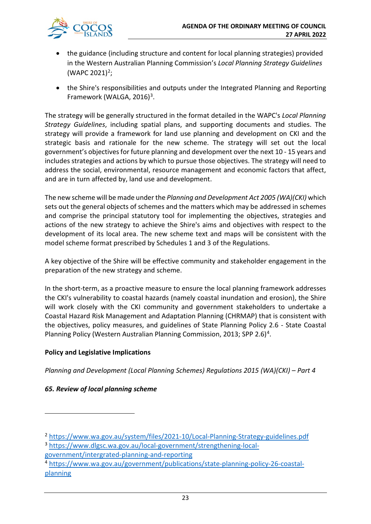

- the guidance (including structure and content for local planning strategies) provided in the Western Australian Planning Commission's *Local Planning Strategy Guidelines* (WAPC [2](#page-22-0)021)<sup>2</sup>;
- the Shire's responsibilities and outputs under the Integrated Planning and Reporting Framework (WALGA,  $2016$ )<sup>[3](#page-22-1)</sup>.

The strategy will be generally structured in the format detailed in the WAPC's *Local Planning Strategy Guidelines*, including spatial plans, and supporting documents and studies. The strategy will provide a framework for land use planning and development on CKI and the strategic basis and rationale for the new scheme. The strategy will set out the local government's objectives for future planning and development over the next 10 - 15 years and includes strategies and actions by which to pursue those objectives. The strategy will need to address the social, environmental, resource management and economic factors that affect, and are in turn affected by, land use and development.

The new scheme will be made under the *Planning and Development Act 2005 (WA)(CKI)* which sets out the general objects of schemes and the matters which may be addressed in schemes and comprise the principal statutory tool for implementing the objectives, strategies and actions of the new strategy to achieve the Shire's aims and objectives with respect to the development of its local area. The new scheme text and maps will be consistent with the model scheme format prescribed by Schedules 1 and 3 of the Regulations.

A key objective of the Shire will be effective community and stakeholder engagement in the preparation of the new strategy and scheme.

In the short-term, as a proactive measure to ensure the local planning framework addresses the CKI's vulnerability to coastal hazards (namely coastal inundation and erosion), the Shire will work closely with the CKI community and government stakeholders to undertake a Coastal Hazard Risk Management and Adaptation Planning (CHRMAP) that is consistent with the objectives, policy measures, and guidelines of State Planning Policy 2.6 - State Coastal Planning Policy (Western Australian Planning Commission, 2013; SPP 2.6)<sup>[4](#page-22-2)</sup>.

#### **Policy and Legislative Implications**

*Planning and Development (Local Planning Schemes) Regulations 2015 (WA)(CKI) – Part 4* 

#### *65. Review of local planning scheme*

<span id="page-22-0"></span><sup>2</sup> <https://www.wa.gov.au/system/files/2021-10/Local-Planning-Strategy-guidelines.pdf>

<span id="page-22-1"></span><sup>3</sup> [https://www.dlgsc.wa.gov.au/local-government/strengthening-local](https://www.dlgsc.wa.gov.au/local-government/strengthening-local-government/intergrated-planning-and-reporting)[government/intergrated-planning-and-reporting](https://www.dlgsc.wa.gov.au/local-government/strengthening-local-government/intergrated-planning-and-reporting)

<span id="page-22-2"></span><sup>4</sup> [https://www.wa.gov.au/government/publications/state-planning-policy-26-coastal](https://www.wa.gov.au/government/publications/state-planning-policy-26-coastal-planning)[planning](https://www.wa.gov.au/government/publications/state-planning-policy-26-coastal-planning)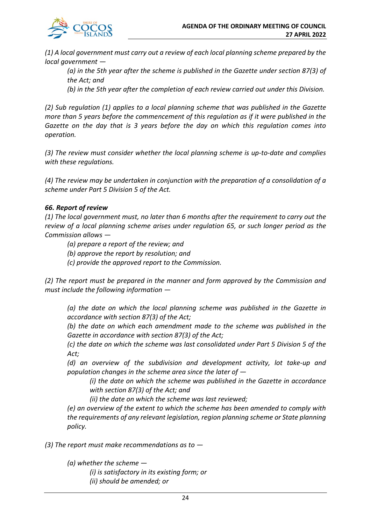*(1) A local government must carry out a review of each local planning scheme prepared by the local government —*

*(a) in the 5th year after the scheme is published in the Gazette under section 87(3) of the Act; and* 

*(b) in the 5th year after the completion of each review carried out under this Division.* 

*(2) Sub regulation (1) applies to a local planning scheme that was published in the Gazette more than 5 years before the commencement of this regulation as if it were published in the Gazette on the day that is 3 years before the day on which this regulation comes into operation.* 

*(3) The review must consider whether the local planning scheme is up-to-date and complies with these regulations.* 

*(4) The review may be undertaken in conjunction with the preparation of a consolidation of a scheme under Part 5 Division 5 of the Act.* 

#### *66. Report of review*

*(1) The local government must, no later than 6 months after the requirement to carry out the review of a local planning scheme arises under regulation 65, or such longer period as the Commission allows —*

*(a) prepare a report of the review; and* 

*(b) approve the report by resolution; and* 

*(c) provide the approved report to the Commission.* 

*(2) The report must be prepared in the manner and form approved by the Commission and must include the following information —*

*(a) the date on which the local planning scheme was published in the Gazette in accordance with section 87(3) of the Act;* 

*(b) the date on which each amendment made to the scheme was published in the Gazette in accordance with section 87(3) of the Act;* 

*(c) the date on which the scheme was last consolidated under Part 5 Division 5 of the Act;* 

*(d) an overview of the subdivision and development activity, lot take-up and population changes in the scheme area since the later of —*

*(i) the date on which the scheme was published in the Gazette in accordance with section 87(3) of the Act; and* 

*(ii) the date on which the scheme was last reviewed;* 

*(e) an overview of the extent to which the scheme has been amended to comply with the requirements of any relevant legislation, region planning scheme or State planning policy.* 

*(3) The report must make recommendations as to —*

*(a) whether the scheme —*

*(i) is satisfactory in its existing form; or (ii) should be amended; or*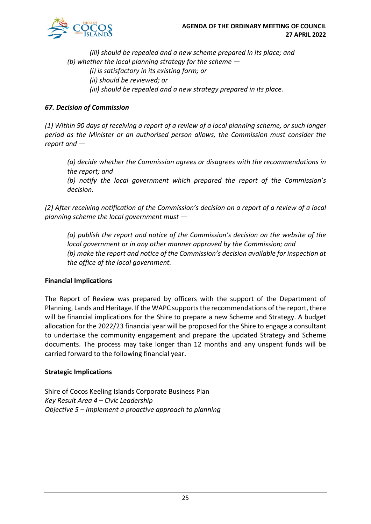

*(iii) should be repealed and a new scheme prepared in its place; and (b) whether the local planning strategy for the scheme — (i) is satisfactory in its existing form; or (ii) should be reviewed; or (iii) should be repealed and a new strategy prepared in its place.* 

#### *67. Decision of Commission*

*(1) Within 90 days of receiving a report of a review of a local planning scheme, or such longer period as the Minister or an authorised person allows, the Commission must consider the report and —*

*(a) decide whether the Commission agrees or disagrees with the recommendations in the report; and* 

*(b) notify the local government which prepared the report of the Commission's decision.* 

*(2) After receiving notification of the Commission's decision on a report of a review of a local planning scheme the local government must —*

*(a) publish the report and notice of the Commission's decision on the website of the local government or in any other manner approved by the Commission; and (b) make the report and notice of the Commission's decision available for inspection at the office of the local government.*

#### **Financial Implications**

The Report of Review was prepared by officers with the support of the Department of Planning, Lands and Heritage. If the WAPC supports the recommendations of the report, there will be financial implications for the Shire to prepare a new Scheme and Strategy. A budget allocation for the 2022/23 financial year will be proposed for the Shire to engage a consultant to undertake the community engagement and prepare the updated Strategy and Scheme documents. The process may take longer than 12 months and any unspent funds will be carried forward to the following financial year.

#### **Strategic Implications**

Shire of Cocos Keeling Islands Corporate Business Plan *Key Result Area 4 – Civic Leadership Objective 5 – Implement a proactive approach to planning*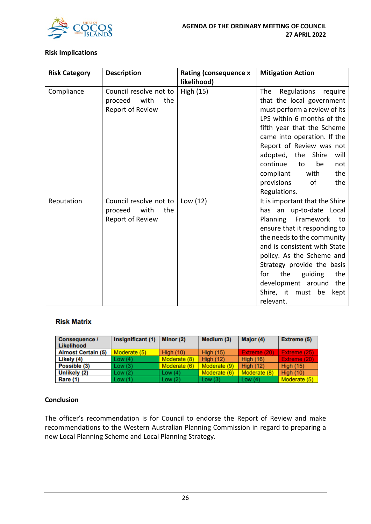

#### **Risk Implications**

| <b>Risk Category</b> | <b>Description</b>                                                   | <b>Rating (consequence x</b><br>likelihood) | <b>Mitigation Action</b>                                                                                                                                                                                                                                                                                                                                 |
|----------------------|----------------------------------------------------------------------|---------------------------------------------|----------------------------------------------------------------------------------------------------------------------------------------------------------------------------------------------------------------------------------------------------------------------------------------------------------------------------------------------------------|
| Compliance           | Council resolve not to<br>proceed<br>with<br>the<br>Report of Review | High (15)                                   | Regulations<br>The<br>require<br>that the local government<br>must perform a review of its<br>LPS within 6 months of the<br>fifth year that the Scheme<br>came into operation. If the<br>Report of Review was not<br>adopted, the<br>Shire<br>will<br>continue<br>be<br>to<br>not<br>compliant<br>the<br>with<br>of<br>provisions<br>the<br>Regulations. |
| Reputation           | Council resolve not to<br>with<br>proceed<br>the<br>Report of Review | Low $(12)$                                  | It is important that the Shire<br>has an up-to-date Local<br>Framework<br>Planning<br>to<br>ensure that it responding to<br>the needs to the community<br>and is consistent with State<br>policy. As the Scheme and<br>Strategy provide the basis<br>the<br>guiding<br>the<br>for<br>development around<br>the<br>Shire, it must be<br>kept<br>relevant. |

#### **Risk Matrix**

| <b>Consequence /</b><br>Likelihood | Insignificant (1) | Minor (2)        | Medium (3)       | Major (4)        | Extreme (5)      |
|------------------------------------|-------------------|------------------|------------------|------------------|------------------|
| <b>Almost Certain (5)</b>          | Moderate (5)      | <b>High (10)</b> | <b>High (15)</b> | Extreme (20)     | Extreme (25)     |
| Likely (4)                         | Low(4)            | Moderate (8)     | <b>High (12)</b> | <b>High (16)</b> | Extreme (20)     |
| Possible (3)                       | Low(3)            | Moderate (6)     | Moderate (9)     | <b>High (12)</b> | <b>High (15)</b> |
| Unlikely (2)                       | Low(2)            | Low $(4)$        | Moderate (6)     | Moderate (8)     | <b>High (10)</b> |
| Rare (1)                           | Low(1)            | Low(2)           | Low $(3)$        | Low $(4)$        | Moderate (5)     |

#### **Conclusion**

The officer's recommendation is for Council to endorse the Report of Review and make recommendations to the Western Australian Planning Commission in regard to preparing a new Local Planning Scheme and Local Planning Strategy.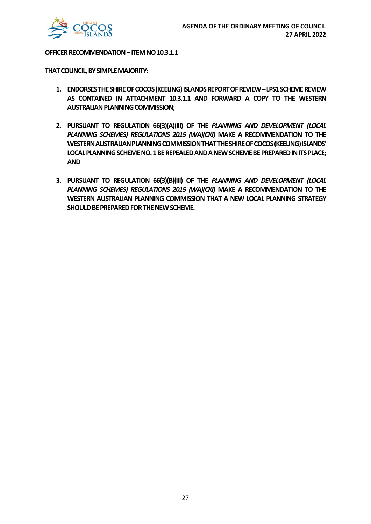

#### **OFFICER RECOMMENDATION –ITEM NO 10.3.1.1**

**THAT COUNCIL, BY SIMPLE MAJORITY:**

- **1. ENDORSES THE SHIRE OF COCOS (KEELING) ISLANDS REPORT OF REVIEW –LPS1 SCHEME REVIEW AS CONTAINED IN ATTACHMENT 10.3.1.1 AND FORWARD A COPY TO THE WESTERN AUSTRALIAN PLANNING COMMISSION;**
- **2. PURSUANT TO REGULATION 66(3)(A)(III) OF THE** *PLANNING AND DEVELOPMENT (LOCAL PLANNING SCHEMES) REGULATIONS 2015 (WA)(CKI)* **MAKE A RECOMMENDATION TO THE WESTERN AUSTRALIAN PLANNING COMMISSION THAT THE SHIRE OF COCOS (KEELING) ISLANDS' LOCAL PLANNING SCHEME NO. 1 BE REPEALED AND A NEW SCHEME BE PREPARED IN ITS PLACE; AND**
- **3. PURSUANT TO REGULATION 66(3)(B)(III) OF THE** *PLANNING AND DEVELOPMENT (LOCAL PLANNING SCHEMES) REGULATIONS 2015 (WA)(CKI)* **MAKE A RECOMMENDATION TO THE WESTERN AUSTRALIAN PLANNING COMMISSION THAT A NEW LOCAL PLANNING STRATEGY SHOULD BE PREPARED FOR THE NEW SCHEME.**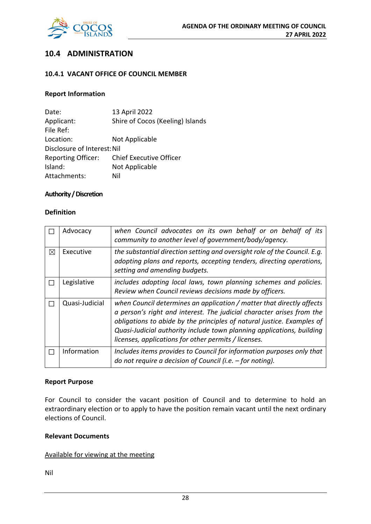

## **10.4 ADMINISTRATION**

#### **10.4.1 VACANT OFFICE OF COUNCIL MEMBER**

#### **Report Information**

Date: 13 April 2022 Applicant: Shire of Cocos (Keeling) Islands File Ref: Location: Not Applicable Disclosure of Interest: Nil Reporting Officer: Chief Executive Officer Island: Not Applicable Attachments: Nil

#### **Authority / Discretion**

#### **Definition**

|          | Advocacy       | when Council advocates on its own behalf or on behalf of its<br>community to another level of government/body/agency.                                                                                                                                                                                                                                     |
|----------|----------------|-----------------------------------------------------------------------------------------------------------------------------------------------------------------------------------------------------------------------------------------------------------------------------------------------------------------------------------------------------------|
| $\times$ | Executive      | the substantial direction setting and oversight role of the Council. E.g.<br>adopting plans and reports, accepting tenders, directing operations,<br>setting and amending budgets.                                                                                                                                                                        |
|          | Legislative    | includes adopting local laws, town planning schemes and policies.<br>Review when Council reviews decisions made by officers.                                                                                                                                                                                                                              |
|          | Quasi-Judicial | when Council determines an application / matter that directly affects<br>a person's right and interest. The judicial character arises from the<br>obligations to abide by the principles of natural justice. Examples of<br>Quasi-Judicial authority include town planning applications, building<br>licenses, applications for other permits / licenses. |
|          | Information    | Includes items provides to Council for information purposes only that<br>do not require a decision of Council (i.e. - for noting).                                                                                                                                                                                                                        |

#### **Report Purpose**

For Council to consider the vacant position of Council and to determine to hold an extraordinary election or to apply to have the position remain vacant until the next ordinary elections of Council.

#### **Relevant Documents**

#### Available for viewing at the meeting

Nil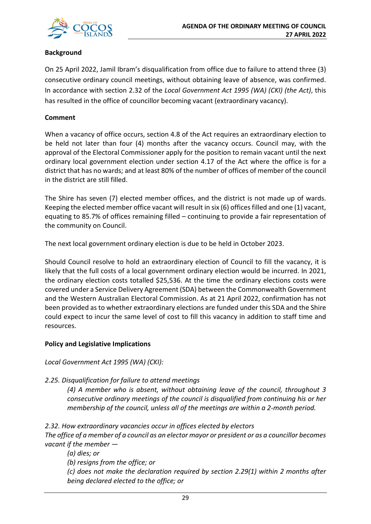

#### **Background**

On 25 April 2022, Jamil Ibram's disqualification from office due to failure to attend three (3) consecutive ordinary council meetings, without obtaining leave of absence, was confirmed. In accordance with section 2.32 of the *Local Government Act 1995 (WA) (CKI) (the Act)*, this has resulted in the office of councillor becoming vacant (extraordinary vacancy).

#### **Comment**

When a vacancy of office occurs, section 4.8 of the Act requires an extraordinary election to be held not later than four (4) months after the vacancy occurs. Council may, with the approval of the Electoral Commissioner apply for the position to remain vacant until the next ordinary local government election under section 4.17 of the Act where the office is for a district that has no wards; and at least 80% of the number of offices of member of the council in the district are still filled.

The Shire has seven (7) elected member offices, and the district is not made up of wards. Keeping the elected member office vacant will result in six (6) offices filled and one (1) vacant, equating to 85.7% of offices remaining filled – continuing to provide a fair representation of the community on Council.

The next local government ordinary election is due to be held in October 2023.

Should Council resolve to hold an extraordinary election of Council to fill the vacancy, it is likely that the full costs of a local government ordinary election would be incurred. In 2021, the ordinary election costs totalled \$25,536. At the time the ordinary elections costs were covered under a Service Delivery Agreement (SDA) between the Commonwealth Government and the Western Australian Electoral Commission. As at 21 April 2022, confirmation has not been provided as to whether extraordinary elections are funded under this SDA and the Shire could expect to incur the same level of cost to fill this vacancy in addition to staff time and resources.

#### **Policy and Legislative Implications**

*Local Government Act 1995 (WA) (CKI):*

#### *2.25. Disqualification for failure to attend meetings*

*(4) A member who is absent, without obtaining leave of the council, throughout 3 consecutive ordinary meetings of the council is disqualified from continuing his or her membership of the council, unless all of the meetings are within a 2-month period.*

*2.32. How extraordinary vacancies occur in offices elected by electors The office of a member of a council as an elector mayor or president or as a councillor becomes vacant if the member —*

*(a) dies; or* 

*(b) resigns from the office; or* 

*(c) does not make the declaration required by section 2.29(1) within 2 months after being declared elected to the office; or*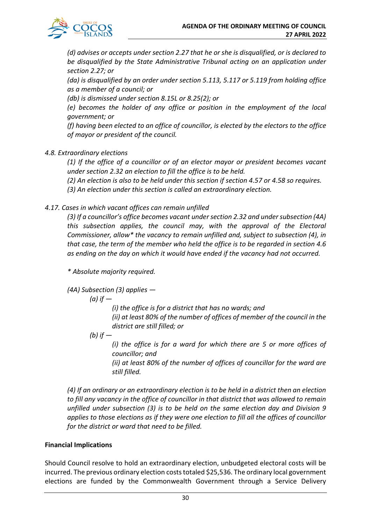

*(d) advises or accepts under section 2.27 that he or she is disqualified, or is declared to be disqualified by the State Administrative Tribunal acting on an application under section 2.27; or* 

*(da) is disqualified by an order under section 5.113, 5.117 or 5.119 from holding office as a member of a council; or* 

*(db) is dismissed under section 8.15L or 8.25(2); or* 

*(e) becomes the holder of any office or position in the employment of the local government; or* 

*(f) having been elected to an office of councillor, is elected by the electors to the office of mayor or president of the council.*

#### *4.8. Extraordinary elections*

*(1) If the office of a councillor or of an elector mayor or president becomes vacant under section 2.32 an election to fill the office is to be held.* 

*(2) An election is also to be held under this section if section 4.57 or 4.58 so requires.* 

*(3) An election under this section is called an extraordinary election.*

#### *4.17. Cases in which vacant offices can remain unfilled*

*(3) If a councillor's office becomes vacant under section 2.32 and under subsection (4A) this subsection applies, the council may, with the approval of the Electoral Commissioner, allow\* the vacancy to remain unfilled and, subject to subsection (4), in that case, the term of the member who held the office is to be regarded in section 4.6 as ending on the day on which it would have ended if the vacancy had not occurred.*

*\* Absolute majority required.* 

*(4A) Subsection (3) applies —*

*(a) if —*

*(i) the office is for a district that has no wards; and (ii) at least 80% of the number of offices of member of the council in the district are still filled; or* 

*(b) if —*

*(i) the office is for a ward for which there are 5 or more offices of councillor; and* 

*(ii) at least 80% of the number of offices of councillor for the ward are still filled.* 

*(4) If an ordinary or an extraordinary election is to be held in a district then an election to fill any vacancy in the office of councillor in that district that was allowed to remain unfilled under subsection (3) is to be held on the same election day and Division 9 applies to those elections as if they were one election to fill all the offices of councillor for the district or ward that need to be filled.*

#### **Financial Implications**

Should Council resolve to hold an extraordinary election, unbudgeted electoral costs will be incurred. The previous ordinary election costs totaled \$25,536. The ordinary local government elections are funded by the Commonwealth Government through a Service Delivery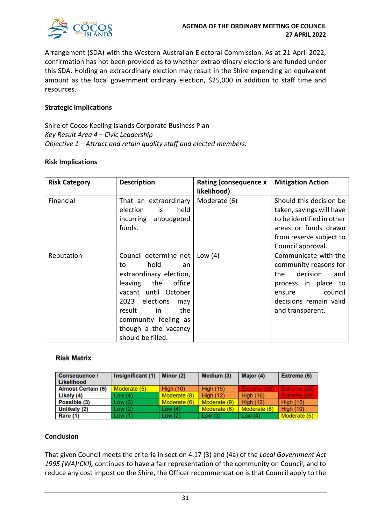

Arrangement (SDA) with the Western Australian Electoral Commission. As at 21 April 2022, confirmation has not been provided as to whether extraordinary elections are funded under this SDA. Holding an extraordinary election may result in the Shire expending an equivalent amount as the local government ordinary election, \$25,000 in addition to staff time and resources.

#### **Strategic Implications**

Shire of Cocos Keeling Islands Corporate Business Plan *Key Result Area 4 – Civic Leadership Objective 1 – Attract and retain quality staff and elected members.*

#### **Risk Implications**

| <b>Risk Category</b> | <b>Description</b>                                                                                                                                                                                                                             | <b>Rating (consequence x</b><br>likelihood) | <b>Mitigation Action</b>                                                                                                                                          |
|----------------------|------------------------------------------------------------------------------------------------------------------------------------------------------------------------------------------------------------------------------------------------|---------------------------------------------|-------------------------------------------------------------------------------------------------------------------------------------------------------------------|
| Financial            | That an extraordinary<br>election<br>held<br>is<br>incurring unbudgeted<br>funds.                                                                                                                                                              | Moderate (6)                                | Should this decision be<br>taken, savings will have<br>to be identified in other<br>areas or funds drawn<br>from reserve subject to<br>Council approval.          |
| Reputation           | Council determine not<br>hold<br>to<br>an<br>extraordinary election,<br>the<br>leaving<br>office<br>vacant until October<br>2023 elections<br>may<br>the<br>result<br>-in<br>community feeling as<br>though a the vacancy<br>should be filled. | Low $(4)$                                   | Communicate with the<br>community reasons for<br>decision<br>the<br>and<br>process in place to<br>council<br>ensure<br>decisions remain valid<br>and transparent. |

#### **Risk Matrix**

| Consequence /<br><b>Likelihood</b> | Insignificant (1) | Minor (2)        | Medium (3)       | Major (4)        | Extreme (5)      |
|------------------------------------|-------------------|------------------|------------------|------------------|------------------|
| <b>Almost Certain (5)</b>          | Moderate (5)      | <b>High (10)</b> | <b>High (15)</b> | Extreme (20)     | Extreme (25)     |
| Likely (4)                         | Low(4)            | Moderate (8)     | High $(12)$      | <b>High (16)</b> | Extreme (20)     |
| Possible (3)                       | Low(3)            | Moderate (6)     | Moderate (9)     | <b>High (12)</b> | <b>High (15)</b> |
| Unlikely (2)                       | Low (2)           | Low $(4)$        | Moderate (6)     | Moderate (8)     | <b>High (10)</b> |
| Rare (1)                           | Low (1)           | Low(2)           | Low $(3)$        | Low $(4)$        | Moderate (5)     |

#### **Conclusion**

That given Council meets the criteria in section 4.17 (3) and (4a) of the *Local Government Act 1995 (WA)(CKI),* continues to have a fair representation of the community on Council, and to reduce any cost impost on the Shire, the Officer recommendation is that Council apply to the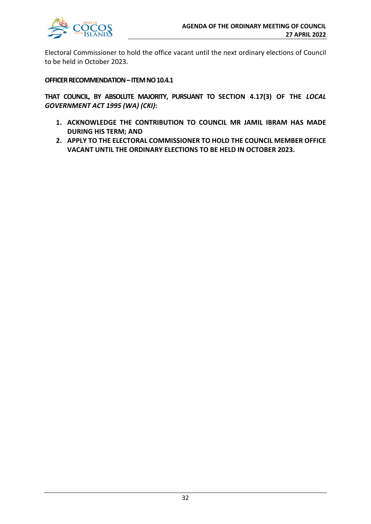

Electoral Commissioner to hold the office vacant until the next ordinary elections of Council to be held in October 2023.

#### **OFFICER RECOMMENDATION –ITEM NO 10.4.1**

**THAT COUNCIL, BY ABSOLUTE MAJORITY, PURSUANT TO SECTION 4.17(3) OF THE** *LOCAL GOVERNMENT ACT 1995 (WA) (CKI)***:**

- **1. ACKNOWLEDGE THE CONTRIBUTION TO COUNCIL MR JAMIL IBRAM HAS MADE DURING HIS TERM; AND**
- **2. APPLY TO THE ELECTORAL COMMISSIONER TO HOLD THE COUNCIL MEMBER OFFICE VACANT UNTIL THE ORDINARY ELECTIONS TO BE HELD IN OCTOBER 2023.**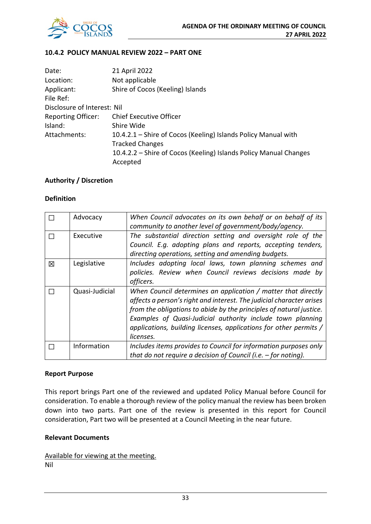

#### **10.4.2 POLICY MANUAL REVIEW 2022 – PART ONE**

| Date:                       | 21 April 2022                                                     |
|-----------------------------|-------------------------------------------------------------------|
| Location:                   | Not applicable                                                    |
| Applicant:                  | Shire of Cocos (Keeling) Islands                                  |
| File Ref:                   |                                                                   |
| Disclosure of Interest: Nil |                                                                   |
| <b>Reporting Officer:</b>   | <b>Chief Executive Officer</b>                                    |
| Island:                     | Shire Wide                                                        |
| Attachments:                | 10.4.2.1 - Shire of Cocos (Keeling) Islands Policy Manual with    |
|                             | <b>Tracked Changes</b>                                            |
|                             | 10.4.2.2 – Shire of Cocos (Keeling) Islands Policy Manual Changes |
|                             | Accepted                                                          |

#### **Authority / Discretion**

#### **Definition**

|   | Advocacy       | When Council advocates on its own behalf or on behalf of its         |
|---|----------------|----------------------------------------------------------------------|
|   |                | community to another level of government/body/agency.                |
|   | Executive      | The substantial direction setting and oversight role of the          |
|   |                | Council. E.g. adopting plans and reports, accepting tenders,         |
|   |                | directing operations, setting and amending budgets.                  |
| 冈 | Legislative    | Includes adopting local laws, town planning schemes and              |
|   |                | policies. Review when Council reviews decisions made by              |
|   |                | officers.                                                            |
|   | Quasi-Judicial | When Council determines an application / matter that directly        |
|   |                | affects a person's right and interest. The judicial character arises |
|   |                | from the obligations to abide by the principles of natural justice.  |
|   |                | Examples of Quasi-Judicial authority include town planning           |
|   |                | applications, building licenses, applications for other permits /    |
|   |                | licenses.                                                            |
|   | Information    | Includes items provides to Council for information purposes only     |
|   |                | that do not require a decision of Council (i.e. $-$ for noting).     |

#### **Report Purpose**

This report brings Part one of the reviewed and updated Policy Manual before Council for consideration. To enable a thorough review of the policy manual the review has been broken down into two parts. Part one of the review is presented in this report for Council consideration, Part two will be presented at a Council Meeting in the near future.

#### **Relevant Documents**

Available for viewing at the meeting.

Nil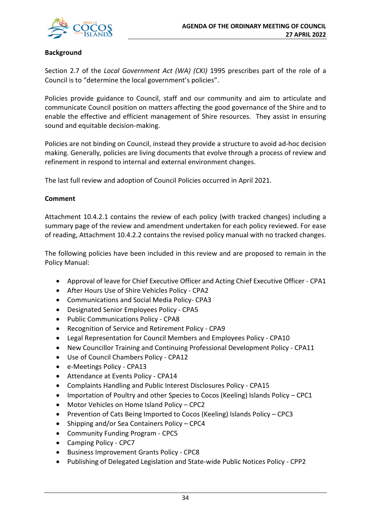

#### **Background**

Section 2.7 of the *Local Government Act (WA) (CKI)* 1995 prescribes part of the role of a Council is to "determine the local government's policies".

Policies provide guidance to Council, staff and our community and aim to articulate and communicate Council position on matters affecting the good governance of the Shire and to enable the effective and efficient management of Shire resources. They assist in ensuring sound and equitable decision-making.

Policies are not binding on Council, instead they provide a structure to avoid ad-hoc decision making. Generally, policies are living documents that evolve through a process of review and refinement in respond to internal and external environment changes.

The last full review and adoption of Council Policies occurred in April 2021.

#### **Comment**

Attachment 10.4.2.1 contains the review of each policy (with tracked changes) including a summary page of the review and amendment undertaken for each policy reviewed. For ease of reading, Attachment 10.4.2.2 contains the revised policy manual with no tracked changes.

The following policies have been included in this review and are proposed to remain in the Policy Manual:

- Approval of leave for Chief Executive Officer and Acting Chief Executive Officer CPA1
- After Hours Use of Shire Vehicles Policy CPA2
- Communications and Social Media Policy- CPA3
- Designated Senior Employees Policy CPA5
- Public Communications Policy CPA8
- Recognition of Service and Retirement Policy CPA9
- Legal Representation for Council Members and Employees Policy CPA10
- New Councillor Training and Continuing Professional Development Policy CPA11
- Use of Council Chambers Policy CPA12
- e-Meetings Policy CPA13
- Attendance at Events Policy CPA14
- Complaints Handling and Public Interest Disclosures Policy CPA15
- Importation of Poultry and other Species to Cocos (Keeling) Islands Policy CPC1
- Motor Vehicles on Home Island Policy CPC2
- Prevention of Cats Being Imported to Cocos (Keeling) Islands Policy CPC3
- Shipping and/or Sea Containers Policy CPC4
- Community Funding Program CPC5
- Camping Policy CPC7
- Business Improvement Grants Policy CPC8
- Publishing of Delegated Legislation and State-wide Public Notices Policy CPP2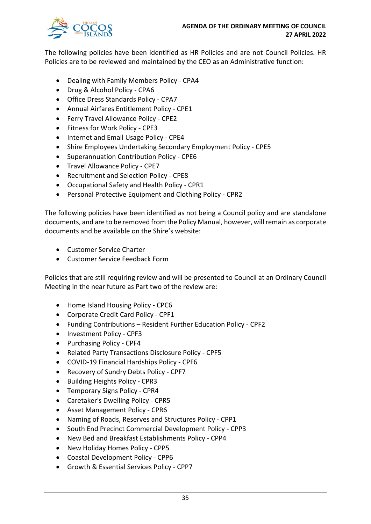

The following policies have been identified as HR Policies and are not Council Policies. HR Policies are to be reviewed and maintained by the CEO as an Administrative function:

- Dealing with Family Members Policy CPA4
- Drug & Alcohol Policy CPA6
- Office Dress Standards Policy CPA7
- Annual Airfares Entitlement Policy CPE1
- Ferry Travel Allowance Policy CPE2
- Fitness for Work Policy CPE3
- Internet and Email Usage Policy CPE4
- Shire Employees Undertaking Secondary Employment Policy CPE5
- Superannuation Contribution Policy CPE6
- Travel Allowance Policy CPE7
- Recruitment and Selection Policy CPE8
- Occupational Safety and Health Policy CPR1
- Personal Protective Equipment and Clothing Policy CPR2

The following policies have been identified as not being a Council policy and are standalone documents, and are to be removed from the Policy Manual, however, will remain as corporate documents and be available on the Shire's website:

- Customer Service Charter
- Customer Service Feedback Form

Policies that are still requiring review and will be presented to Council at an Ordinary Council Meeting in the near future as Part two of the review are:

- Home Island Housing Policy CPC6
- Corporate Credit Card Policy CPF1
- Funding Contributions Resident Further Education Policy CPF2
- Investment Policy CPF3
- Purchasing Policy CPF4
- Related Party Transactions Disclosure Policy CPF5
- COVID-19 Financial Hardships Policy CPF6
- Recovery of Sundry Debts Policy CPF7
- Building Heights Policy CPR3
- Temporary Signs Policy CPR4
- Caretaker's Dwelling Policy CPR5
- Asset Management Policy CPR6
- Naming of Roads, Reserves and Structures Policy CPP1
- South End Precinct Commercial Development Policy CPP3
- New Bed and Breakfast Establishments Policy CPP4
- New Holiday Homes Policy CPP5
- Coastal Development Policy CPP6
- Growth & Essential Services Policy CPP7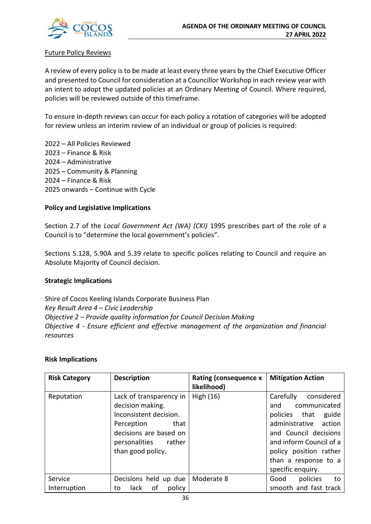

#### Future Policy Reviews

A review of every policy is to be made at least every three years by the Chief Executive Officer and presented to Council for consideration at a Councillor Workshop in each review year with an intent to adopt the updated policies at an Ordinary Meeting of Council. Where required, policies will be reviewed outside of this timeframe.

To ensure in-depth reviews can occur for each policy a rotation of categories will be adopted for review unless an interim review of an individual or group of policies is required:

2022 – All Policies Reviewed 2023 – Finance & Risk 2024 – Administrative 2025 – Community & Planning 2024 – Finance & Risk 2025 onwards – Continue with Cycle

#### **Policy and Legislative Implications**

Section 2.7 of the *Local Government Act (WA) (CKI)* 1995 prescribes part of the role of a Council is to "determine the local government's policies".

Sections 5.128, 5.90A and 5.39 relate to specific polices relating to Council and require an Absolute Majority of Council decision.

#### **Strategic Implications**

Shire of Cocos Keeling Islands Corporate Business Plan *Key Result Area 4 – Civic Leadership Objective 2 – Provide quality information for Council Decision Making Objective 4 - Ensure efficient and effective management of the organization and financial resources*

#### **Risk Implications**

| <b>Risk Category</b>    | <b>Description</b>                                                                                                                                                 | <b>Rating (consequence x</b><br>likelihood) | <b>Mitigation Action</b>                                                                                                                                                                                                     |
|-------------------------|--------------------------------------------------------------------------------------------------------------------------------------------------------------------|---------------------------------------------|------------------------------------------------------------------------------------------------------------------------------------------------------------------------------------------------------------------------------|
| Reputation              | Lack of transparency in<br>decision making.<br>Inconsistent decision.<br>Perception<br>that<br>decisions are based on<br>personalities rather<br>than good policy. | High (16)                                   | Carefully<br>considered<br>and<br>communicated<br>policies that<br>guide<br>administrative action<br>and Council decisions<br>and inform Council of a<br>policy position rather<br>than a response to a<br>specific enquiry. |
| Service<br>Interruption | Decisions held up due<br>of<br>policy<br>lack<br>to                                                                                                                | Moderate 8                                  | policies<br>Good<br>to<br>smooth and fast track                                                                                                                                                                              |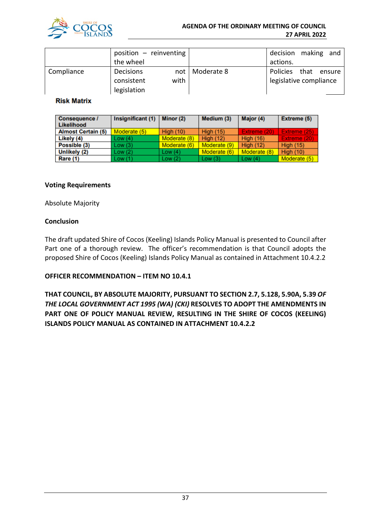

|            | position $-$ reinventing |                  | decision making and    |        |
|------------|--------------------------|------------------|------------------------|--------|
|            | the wheel                |                  | actions.               |        |
| Compliance | <b>Decisions</b>         | not   Moderate 8 | Policies that          | ensure |
|            | with<br>consistent       |                  | legislative compliance |        |
|            | legislation              |                  |                        |        |

#### **Risk Matrix**

| <b>Consequence /</b><br>Likelihood | Insignificant (1) | Minor $(2)$      | Medium (3)       | Major (4)        | <b>Extreme (5)</b> |
|------------------------------------|-------------------|------------------|------------------|------------------|--------------------|
| <b>Almost Certain (5)</b>          | Moderate (5)      | <b>High (10)</b> | <b>High (15)</b> | Extreme (20)     | Extreme (25)       |
| Likely (4)                         | Low(4)            | Moderate (8)     | High $(12)$      | <b>High (16)</b> | Extreme (20)       |
| Possible (3)                       | Low(3)            | Moderate (6)     | Moderate (9)     | <b>High (12)</b> | <b>High (15)</b>   |
| Unlikely (2)                       | Low (2)           | Low $(4)$        | Moderate (6)     | Moderate (8)     | <b>High (10)</b>   |
| Rare (1)                           | Low (1)           | Low(2)           | Low $(3)$        | Low $(4)$        | Moderate (5)       |

#### **Voting Requirements**

Absolute Majority

#### **Conclusion**

The draft updated Shire of Cocos (Keeling) Islands Policy Manual is presented to Council after Part one of a thorough review. The officer's recommendation is that Council adopts the proposed Shire of Cocos (Keeling) Islands Policy Manual as contained in Attachment 10.4.2.2

#### **OFFICER RECOMMENDATION – ITEM NO 10.4.1**

**THAT COUNCIL, BY ABSOLUTE MAJORITY, PURSUANT TO SECTION 2.7, 5.128, 5.90A, 5.39** *OF THE LOCAL GOVERNMENT ACT 1995 (WA) (CKI)* **RESOLVES TO ADOPT THE AMENDMENTS IN PART ONE OF POLICY MANUAL REVIEW, RESULTING IN THE SHIRE OF COCOS (KEELING) ISLANDS POLICY MANUAL AS CONTAINED IN ATTACHMENT 10.4.2.2**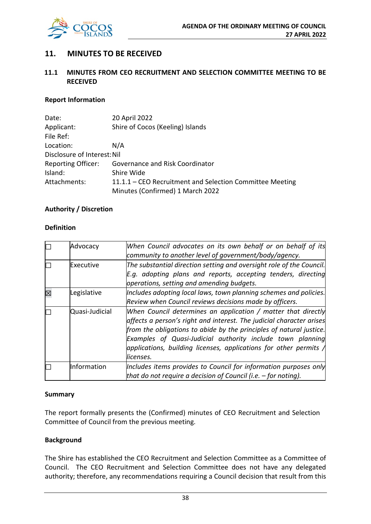

## **11. MINUTES TO BE RECEIVED**

#### **11.1 MINUTES FROM CEO RECRUITMENT AND SELECTION COMMITTEE MEETING TO BE RECEIVED**

#### **Report Information**

| Date:                       | 20 April 2022                                            |  |  |
|-----------------------------|----------------------------------------------------------|--|--|
| Applicant:                  | Shire of Cocos (Keeling) Islands                         |  |  |
| File Ref:                   |                                                          |  |  |
| Location:                   | N/A                                                      |  |  |
| Disclosure of Interest: Nil |                                                          |  |  |
| <b>Reporting Officer:</b>   | Governance and Risk Coordinator                          |  |  |
| Island:                     | Shire Wide                                               |  |  |
| Attachments:                | 11.1.1 – CEO Recruitment and Selection Committee Meeting |  |  |
|                             | Minutes (Confirmed) 1 March 2022                         |  |  |

#### **Authority / Discretion**

#### **Definition**

| Advocacy       | When Council advocates on its own behalf or on behalf of its<br>community to another level of government/body/agency.                                                                                                                                                                                                                                                   |
|----------------|-------------------------------------------------------------------------------------------------------------------------------------------------------------------------------------------------------------------------------------------------------------------------------------------------------------------------------------------------------------------------|
| Executive      | The substantial direction setting and oversight role of the Council.<br>E.g. adopting plans and reports, accepting tenders, directing<br>operations, setting and amending budgets.                                                                                                                                                                                      |
| Legislative    | Includes adopting local laws, town planning schemes and policies.<br>Review when Council reviews decisions made by officers.                                                                                                                                                                                                                                            |
| Quasi-Judicial | When Council determines an application / matter that directly<br>affects a person's right and interest. The judicial character arises<br>from the obligations to abide by the principles of natural justice.<br>Examples of Quasi-Judicial authority include town planning<br>$ $ applications, building licenses, applications for other permits $\wedge$<br>licenses. |
| Information    | Includes items provides to Council for information purposes only<br>that do not require a decision of Council (i.e. $-$ for noting).                                                                                                                                                                                                                                    |

#### **Summary**

The report formally presents the (Confirmed) minutes of CEO Recruitment and Selection Committee of Council from the previous meeting.

#### **Background**

The Shire has established the CEO Recruitment and Selection Committee as a Committee of Council. The CEO Recruitment and Selection Committee does not have any delegated authority; therefore, any recommendations requiring a Council decision that result from this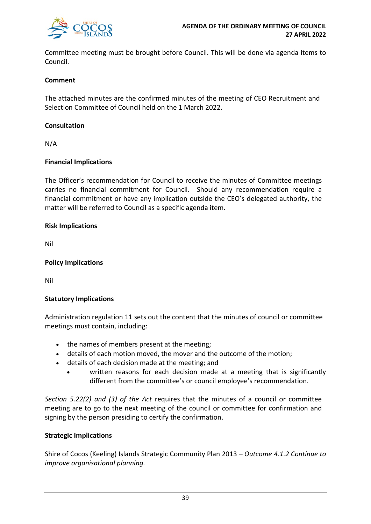

Committee meeting must be brought before Council. This will be done via agenda items to Council.

#### **Comment**

The attached minutes are the confirmed minutes of the meeting of CEO Recruitment and Selection Committee of Council held on the 1 March 2022.

#### **Consultation**

N/A

#### **Financial Implications**

The Officer's recommendation for Council to receive the minutes of Committee meetings carries no financial commitment for Council. Should any recommendation require a financial commitment or have any implication outside the CEO's delegated authority, the matter will be referred to Council as a specific agenda item.

#### **Risk Implications**

Nil

#### **Policy Implications**

Nil

#### **Statutory Implications**

Administration regulation 11 sets out the content that the minutes of council or committee meetings must contain, including:

- the names of members present at the meeting;
- details of each motion moved, the mover and the outcome of the motion;
- details of each decision made at the meeting; and
	- written reasons for each decision made at a meeting that is significantly different from the committee's or council employee's recommendation.

*Section 5.22(2) and (3) of the Act* requires that the minutes of a council or committee meeting are to go to the next meeting of the council or committee for confirmation and signing by the person presiding to certify the confirmation.

#### **Strategic Implications**

Shire of Cocos (Keeling) Islands Strategic Community Plan 2013 *– Outcome 4.1.2 Continue to improve organisational planning.*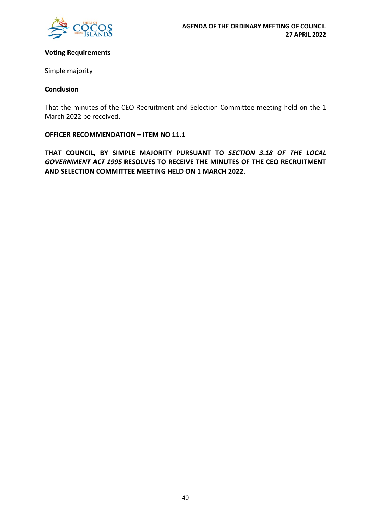

#### **Voting Requirements**

Simple majority

#### **Conclusion**

That the minutes of the CEO Recruitment and Selection Committee meeting held on the 1 March 2022 be received.

**OFFICER RECOMMENDATION – ITEM NO 11.1**

**THAT COUNCIL, BY SIMPLE MAJORITY PURSUANT TO** *SECTION 3.18 OF THE LOCAL GOVERNMENT ACT 1995* **RESOLVES TO RECEIVE THE MINUTES OF THE CEO RECRUITMENT AND SELECTION COMMITTEE MEETING HELD ON 1 MARCH 2022.**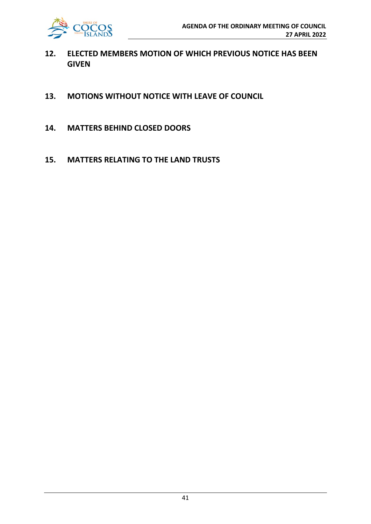

- **12. ELECTED MEMBERS MOTION OF WHICH PREVIOUS NOTICE HAS BEEN GIVEN**
- **13. MOTIONS WITHOUT NOTICE WITH LEAVE OF COUNCIL**
- **14. MATTERS BEHIND CLOSED DOORS**
- **15. MATTERS RELATING TO THE LAND TRUSTS**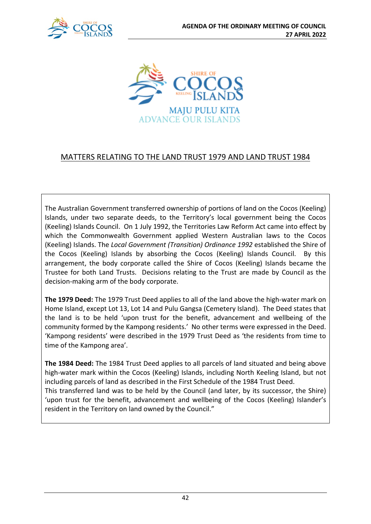



## MATTERS RELATING TO THE LAND TRUST 1979 AND LAND TRUST 1984

The Australian Government transferred ownership of portions of land on the Cocos (Keeling) Islands, under two separate deeds, to the Territory's local government being the Cocos (Keeling) Islands Council. On 1 July 1992, the Territories Law Reform Act came into effect by which the Commonwealth Government applied Western Australian laws to the Cocos (Keeling) Islands. The *Local Government (Transition) Ordinance 1992* established the Shire of the Cocos (Keeling) Islands by absorbing the Cocos (Keeling) Islands Council. By this arrangement, the body corporate called the Shire of Cocos (Keeling) Islands became the Trustee for both Land Trusts. Decisions relating to the Trust are made by Council as the decision-making arm of the body corporate.

**The 1979 Deed:** The 1979 Trust Deed applies to all of the land above the high-water mark on Home Island, except Lot 13, Lot 14 and Pulu Gangsa (Cemetery Island). The Deed states that the land is to be held 'upon trust for the benefit, advancement and wellbeing of the community formed by the Kampong residents.' No other terms were expressed in the Deed. 'Kampong residents' were described in the 1979 Trust Deed as 'the residents from time to time of the Kampong area'.

**The 1984 Deed:** The 1984 Trust Deed applies to all parcels of land situated and being above high-water mark within the Cocos (Keeling) Islands, including North Keeling Island, but not including parcels of land as described in the First Schedule of the 1984 Trust Deed. This transferred land was to be held by the Council (and later, by its successor, the Shire) 'upon trust for the benefit, advancement and wellbeing of the Cocos (Keeling) Islander's resident in the Territory on land owned by the Council."